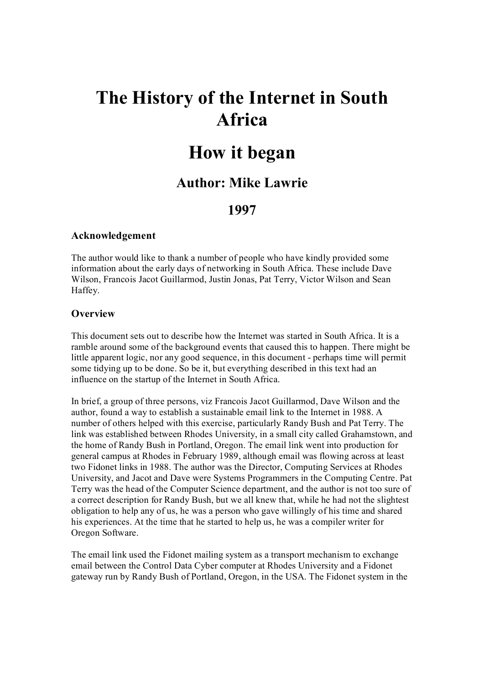# **The History of the Internet in South Africa**

# **How it began**

## **Author: Mike Lawrie**

## **1997**

#### **Acknowledgement**

The author would like to thank a number of people who have kindly provided some information about the early days of networking in South Africa. These include Dave Wilson, Francois Jacot Guillarmod, Justin Jonas, Pat Terry, Victor Wilson and Sean Haffey.

#### **Overview**

This document sets out to describe how the Internet was started in South Africa. It is a ramble around some of the background events that caused this to happen. There might be little apparent logic, nor any good sequence, in this document - perhaps time will permit some tidying up to be done. So be it, but everything described in this text had an influence on the startup of the Internet in South Africa.

In brief, a group of three persons, viz Francois Jacot Guillarmod, Dave Wilson and the author, found a way to establish a sustainable email link to the Internet in 1988. A number of others helped with this exercise, particularly Randy Bush and Pat Terry. The link was established between Rhodes University, in a small city called Grahamstown, and the home of Randy Bush in Portland, Oregon. The email link went into production for general campus at Rhodes in February 1989, although email was flowing across at least two Fidonet links in 1988. The author was the Director, Computing Services at Rhodes University, and Jacot and Dave were Systems Programmers in the Computing Centre. Pat Terry was the head of the Computer Science department, and the author is not too sure of a correct description for Randy Bush, but we all knew that, while he had not the slightest obligation to help any of us, he was a person who gave willingly of his time and shared his experiences. At the time that he started to help us, he was a compiler writer for Oregon Software.

The email link used the Fidonet mailing system as a transport mechanism to exchange email between the Control Data Cyber computer at Rhodes University and a Fidonet gateway run by Randy Bush of Portland, Oregon, in the USA. The Fidonet system in the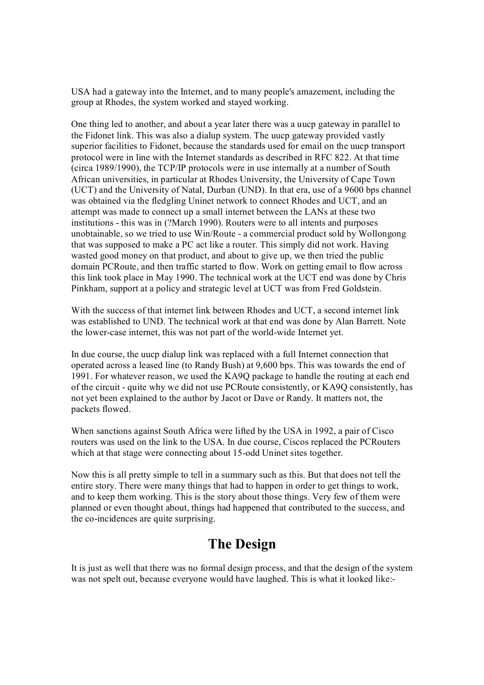USA had a gateway into the Internet, and to many people's amazement, including the group at Rhodes, the system worked and stayed working.

One thing led to another, and about a year later there was a uucp gateway in parallel to the Fidonet link. This was also a dialup system. The uucp gateway provided vastly superior facilities to Fidonet, because the standards used for email on the uucp transport protocol were in line with the Internet standards as described in RFC 822. At that time (circa 1989/1990), the TCP/IP protocols were in use internally at a number of South African universities, in particular at Rhodes University, the University of Cape Town (UCT) and the University of Natal, Durban (UND). In that era, use of a 9600 bps channel was obtained via the fledgling Uninet network to connect Rhodes and UCT, and an attempt was made to connect up a small internet between the LANs at these two institutions - this was in (?March 1990). Routers were to all intents and purposes unobtainable, so we tried to use Win/Route a commercial product sold by Wollongong that was supposed to make a PC act like a router. This simply did not work. Having wasted good money on that product, and about to give up, we then tried the public domain PCRoute, and then traffic started to flow. Work on getting email to flow across this link took place in May 1990. The technical work at the UCT end was done by Chris Pinkham, support at a policy and strategic level at UCT was from Fred Goldstein.

With the success of that internet link between Rhodes and UCT, a second internet link was established to UND. The technical work at that end was done by Alan Barrett. Note the lower-case internet, this was not part of the world-wide Internet yet.

In due course, the uucp dialup link was replaced with a full Internet connection that operated across a leased line (to Randy Bush) at 9,600 bps. This was towards the end of 1991. For whatever reason, we used the KA9Q package to handle the routing at each end of the circuit - quite why we did not use PCRoute consistently, or KA9Q consistently, has not yet been explained to the author by Jacot or Dave or Randy. It matters not, the packets flowed.

When sanctions against South Africa were lifted by the USA in 1992, a pair of Cisco routers was used on the link to the USA. In due course, Ciscos replaced the PCRouters which at that stage were connecting about 15-odd Uninet sites together.

Now this is all pretty simple to tell in a summary such as this. But that does not tell the entire story. There were many things that had to happen in order to get things to work, and to keep them working. This is the story about those things. Very few of them were planned or even thought about, things had happened that contributed to the success, and the co-incidences are quite surprising.

## **The Design**

It is just as well that there was no formal design process, and that the design of the system was not spelt out, because everyone would have laughed. This is what it looked like: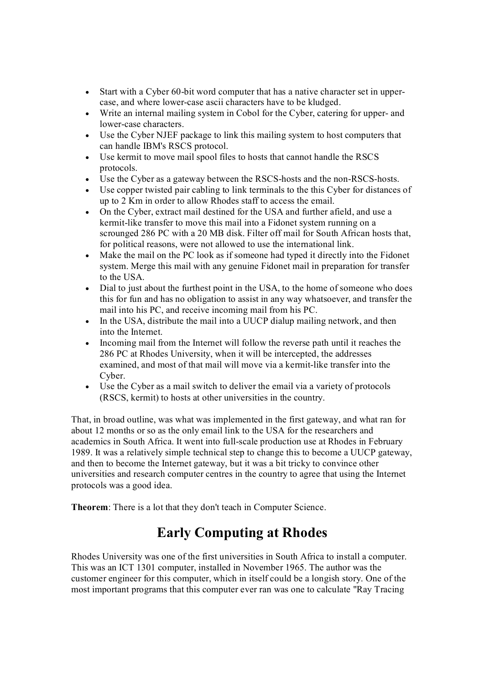- Start with a Cyber 60-bit word computer that has a native character set in uppercase, and where lower-case ascii characters have to be kludged.
- Write an internal mailing system in Cobol for the Cyber, catering for upper- and lower-case characters.
- · Use the Cyber NJEF package to link this mailing system to host computers that can handle IBM's RSCS protocol.
- · Use kermit to move mail spool files to hosts that cannot handle the RSCS protocols.
- Use the Cyber as a gateway between the RSCS-hosts and the non-RSCS-hosts.
- · Use copper twisted pair cabling to link terminals to the this Cyber for distances of up to 2 Km in order to allow Rhodes staff to access the email.
- · On the Cyber, extract mail destined for the USA and further afield, and use a kermit-like transfer to move this mail into a Fidonet system running on a scrounged 286 PC with a 20 MB disk. Filter off mail for South African hosts that, for political reasons, were not allowed to use the international link.
- · Make the mail on the PC look as if someone had typed it directly into the Fidonet system. Merge this mail with any genuine Fidonet mail in preparation for transfer to the USA.
- Dial to just about the furthest point in the USA, to the home of someone who does this for fun and has no obligation to assist in any way whatsoever, and transfer the mail into his PC, and receive incoming mail from his PC.
- In the USA, distribute the mail into a UUCP dialup mailing network, and then into the Internet.
- · Incoming mail from the Internet will follow the reverse path until it reaches the 286 PC at Rhodes University, when it will be intercepted, the addresses examined, and most of that mail will move via a kermit-like transfer into the Cyber.
- · Use the Cyber as a mail switch to deliver the email via a variety of protocols (RSCS, kermit) to hosts at other universities in the country.

That, in broad outline, was what was implemented in the first gateway, and what ran for about 12 months or so as the only email link to the USA for the researchers and academics in South Africa. It went into full-scale production use at Rhodes in February 1989. It was a relatively simple technical step to change this to become a UUCP gateway, and then to become the Internet gateway, but it was a bit tricky to convince other universities and research computer centres in the country to agree that using the Internet protocols was a good idea.

**Theorem**: There is a lot that they don't teach in Computer Science.

## **Early Computing at Rhodes**

Rhodes University was one of the first universities in South Africa to install a computer. This was an ICT 1301 computer, installed in November 1965. The author was the customer engineer for this computer, which in itself could be a longish story. One of the most important programs that this computer ever ran was one to calculate "Ray Tracing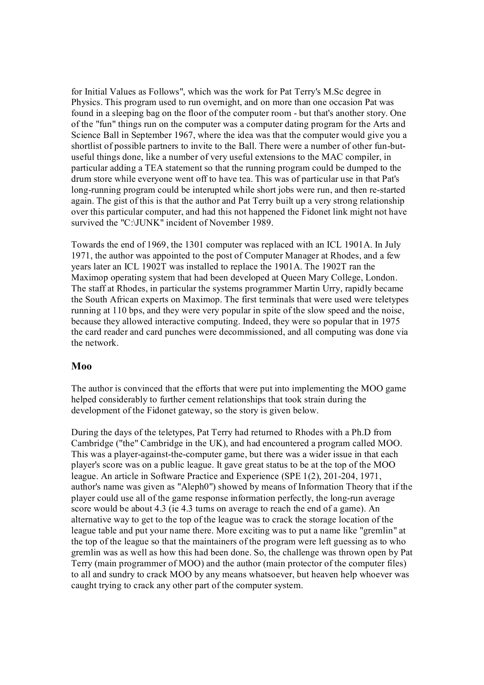for Initial Values as Follows", which was the work for Pat Terry's M.Sc degree in Physics. This program used to run overnight, and on more than one occasion Pat was found in a sleeping bag on the floor of the computer room - but that's another story. One of the "fun" things run on the computer was a computer dating program for the Arts and Science Ball in September 1967, where the idea was that the computer would give you a shortlist of possible partners to invite to the Ball. There were a number of other fun-butuseful things done, like a number of very useful extensions to the MAC compiler, in particular adding a TEA statement so that the running program could be dumped to the drum store while everyone went off to have tea. This was of particular use in that Pat's long-running program could be interupted while short jobs were run, and then re-started again. The gist of this is that the author and Pat Terry built up a very strong relationship over this particular computer, and had this not happened the Fidonet link might not have survived the "C:\JUNK" incident of November 1989.

Towards the end of 1969, the 1301 computer was replaced with an ICL 1901A. In July 1971, the author was appointed to the post of Computer Manager at Rhodes, and a few years later an ICL 1902T was installed to replace the 1901A. The 1902T ran the Maximop operating system that had been developed at Queen Mary College, London. The staff at Rhodes, in particular the systems programmer Martin Urry, rapidly became the South African experts on Maximop. The first terminals that were used were teletypes running at 110 bps, and they were very popular in spite of the slow speed and the noise, because they allowed interactive computing. Indeed, they were so popular that in 1975 the card reader and card punches were decommissioned, and all computing was done via the network.

### **Moo**

The author is convinced that the efforts that were put into implementing the MOO game helped considerably to further cement relationships that took strain during the development of the Fidonet gateway, so the story is given below.

During the days of the teletypes, Pat Terry had returned to Rhodes with a Ph.D from Cambridge ("the" Cambridge in the UK), and had encountered a program called MOO. This was a player-against-the-computer game, but there was a wider issue in that each player's score was on a public league. It gave great status to be at the top of the MOO league. An article in Software Practice and Experience (SPE 1(2), 201-204, 1971, author's name was given as "Aleph0") showed by means of Information Theory that if the player could use all of the game response information perfectly, the long-run average score would be about 4.3 (ie 4.3 turns on average to reach the end of a game). An alternative way to get to the top of the league was to crack the storage location of the league table and put your name there. More exciting was to put a name like "gremlin" at the top of the league so that the maintainers of the program were left guessing as to who gremlin was as well as how this had been done. So, the challenge was thrown open by Pat Terry (main programmer of MOO) and the author (main protector of the computer files) to all and sundry to crack MOO by any means whatsoever, but heaven help whoever was caught trying to crack any other part of the computer system.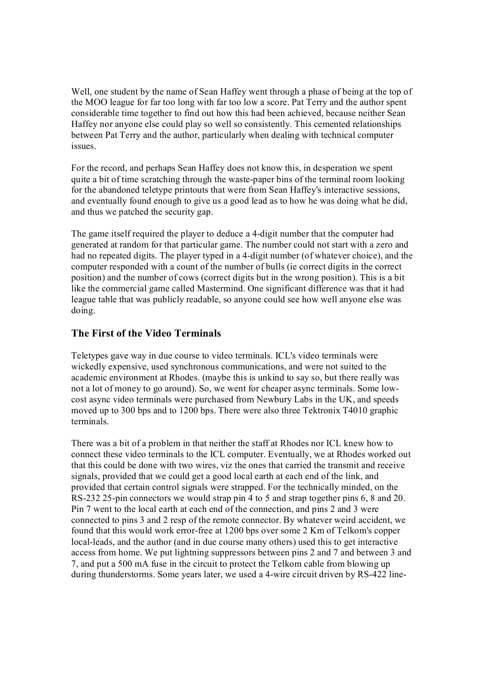Well, one student by the name of Sean Haffey went through a phase of being at the top of the MOO league for far too long with far too low a score. Pat Terry and the author spent considerable time together to find out how this had been achieved, because neither Sean Haffey nor anyone else could play so well so consistently. This cemented relationships between Pat Terry and the author, particularly when dealing with technical computer issues.

For the record, and perhaps Sean Haffey does not know this, in desperation we spent quite a bit of time scratching through the waste-paper bins of the terminal room looking for the abandoned teletype printouts that were from Sean Haffey's interactive sessions, and eventually found enough to give us a good lead as to how he was doing what he did, and thus we patched the security gap.

The game itself required the player to deduce a 4-digit number that the computer had generated at random for that particular game. The number could not start with a zero and had no repeated digits. The player typed in a 4-digit number (of whatever choice), and the computer responded with a count of the number of bulls (ie correct digits in the correct position) and the number of cows (correct digits but in the wrong position). This is a bit like the commercial game called Mastermind. One significant difference was that it had league table that was publicly readable, so anyone could see how well anyone else was doing.

### **The First of the Video Terminals**

Teletypes gave way in due course to video terminals. ICL's video terminals were wickedly expensive, used synchronous communications, and were not suited to the academic environment at Rhodes. (maybe this is unkind to say so, but there really was not a lot of money to go around). So, we went for cheaper async terminals. Some low cost async video terminals were purchased from Newbury Labs in the UK, and speeds moved up to 300 bps and to 1200 bps. There were also three Tektronix T4010 graphic terminals.

There was a bit of a problem in that neither the staff at Rhodes nor ICL knew how to connect these video terminals to the ICL computer. Eventually, we at Rhodes worked out that this could be done with two wires, viz the ones that carried the transmit and receive signals, provided that we could get a good local earth at each end of the link, and provided that certain control signals were strapped. For the technically minded, on the RS-232 25-pin connectors we would strap pin 4 to 5 and strap together pins 6, 8 and 20. Pin 7 went to the local earth at each end of the connection, and pins 2 and 3 were connected to pins 3 and 2 resp of the remote connector. By whatever weird accident, we found that this would work error-free at 1200 bps over some 2 Km of Telkom's copper local-leads, and the author (and in due course many others) used this to get interactive access from home. We put lightning suppressors between pins 2 and 7 and between 3 and 7, and put a 500 mA fuse in the circuit to protect the Telkom cable from blowing up during thunderstorms. Some years later, we used a 4-wire circuit driven by  $RS-422$  line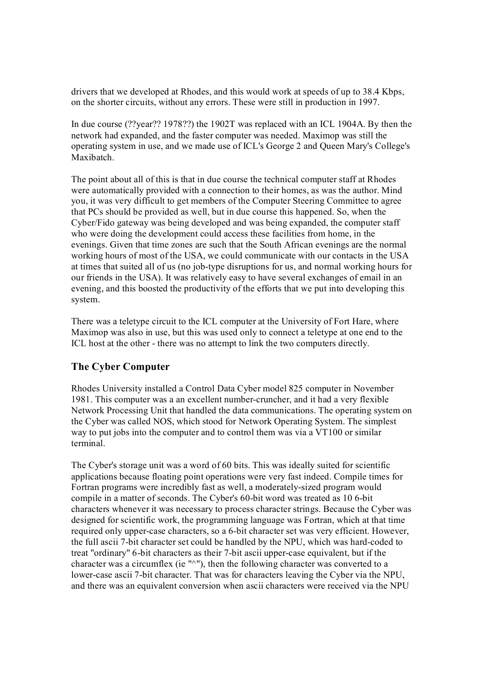drivers that we developed at Rhodes, and this would work at speeds of up to 38.4 Kbps, on the shorter circuits, without any errors. These were still in production in 1997.

In due course (??year?? 1978??) the 1902T was replaced with an ICL 1904A. By then the network had expanded, and the faster computer was needed. Maximop was still the operating system in use, and we made use of ICL's George 2 and Queen Mary's College's Maxibatch.

The point about all of this is that in due course the technical computer staff at Rhodes were automatically provided with a connection to their homes, as was the author. Mind you, it was very difficult to get members of the Computer Steering Committee to agree that PCs should be provided as well, but in due course this happened. So, when the Cyber/Fido gateway was being developed and was being expanded, the computer staff who were doing the development could access these facilities from home, in the evenings. Given that time zones are such that the South African evenings are the normal working hours of most of the USA, we could communicate with our contacts in the USA at times that suited all of us (no jobtype disruptions for us, and normal working hours for our friends in the USA). It was relatively easy to have several exchanges of email in an evening, and this boosted the productivity of the efforts that we put into developing this system.

There was a teletype circuit to the ICL computer at the University of Fort Hare, where Maximop was also in use, but this was used only to connect a teletype at one end to the ICL host at the other - there was no attempt to link the two computers directly.

## **The Cyber Computer**

Rhodes University installed a Control Data Cyber model 825 computer in November 1981. This computer was a an excellent number-cruncher, and it had a very flexible Network Processing Unit that handled the data communications. The operating system on the Cyber was called NOS, which stood for Network Operating System. The simplest way to put jobs into the computer and to control them was via a VT100 or similar terminal.

The Cyber's storage unit was a word of 60 bits. This was ideally suited for scientific applications because floating point operations were very fast indeed. Compile times for Fortran programs were incredibly fast as well, a moderately-sized program would compile in a matter of seconds. The Cyber's 60-bit word was treated as 10 6-bit characters whenever it was necessary to process character strings. Because the Cyber was designed for scientific work, the programming language was Fortran, which at that time required only upper-case characters, so a 6-bit character set was very efficient. However, the full ascii 7-bit character set could be handled by the NPU, which was hard-coded to treat "ordinary" 6-bit characters as their 7-bit ascii upper-case equivalent, but if the character was a circumflex (ie "^"), then the following character was converted to a lower-case ascii 7-bit character. That was for characters leaving the Cyber via the NPU, and there was an equivalent conversion when ascii characters were received via the NPU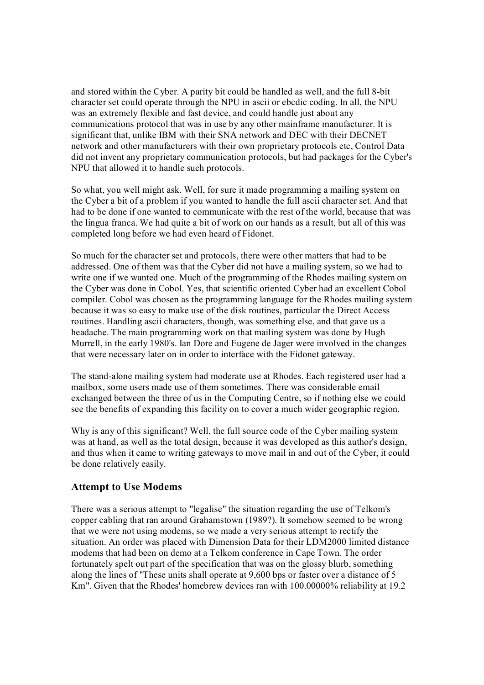and stored within the Cyber. A parity bit could be handled as well, and the full 8-bit character set could operate through the NPU in ascii or ebcdic coding. In all, the NPU was an extremely flexible and fast device, and could handle just about any communications protocol that was in use by any other mainframe manufacturer. It is significant that, unlike IBM with their SNA network and DEC with their DECNET network and other manufacturers with their own proprietary protocols etc, Control Data did not invent any proprietary communication protocols, but had packages for the Cyber's NPU that allowed it to handle such protocols.

So what, you well might ask. Well, for sure it made programming a mailing system on the Cyber a bit of a problem if you wanted to handle the full ascii character set. And that had to be done if one wanted to communicate with the rest of the world, because that was the lingua franca. We had quite a bit of work on our hands as a result, but all of this was completed long before we had even heard of Fidonet.

So much for the character set and protocols, there were other matters that had to be addressed. One of them was that the Cyber did not have a mailing system, so we had to write one if we wanted one. Much of the programming of the Rhodes mailing system on the Cyber was done in Cobol. Yes, that scientific oriented Cyber had an excellent Cobol compiler. Cobol was chosen as the programming language for the Rhodes mailing system because it was so easy to make use of the disk routines, particular the Direct Access routines. Handling ascii characters, though, was something else, and that gave us a headache. The main programming work on that mailing system was done by Hugh Murrell, in the early 1980's. Ian Dore and Eugene de Jager were involved in the changes that were necessary later on in order to interface with the Fidonet gateway.

The stand-alone mailing system had moderate use at Rhodes. Each registered user had a mailbox, some users made use of them sometimes. There was considerable email exchanged between the three of us in the Computing Centre, so if nothing else we could see the benefits of expanding this facility on to cover a much wider geographic region.

Why is any of this significant? Well, the full source code of the Cyber mailing system was at hand, as well as the total design, because it was developed as this author's design, and thus when it came to writing gateways to move mail in and out of the Cyber, it could be done relatively easily.

### **Attempt to Use Modems**

There was a serious attempt to "legalise" the situation regarding the use of Telkom's copper cabling that ran around Grahamstown (1989?). It somehow seemed to be wrong that we were not using modems, so we made a very serious attempt to rectify the situation. An order was placed with Dimension Data for their LDM2000 limited distance modems that had been on demo at a Telkom conference in Cape Town. The order fortunately spelt out part of the specification that was on the glossy blurb, something along the lines of "These units shall operate at 9,600 bps or faster over a distance of 5 Km". Given that the Rhodes' homebrew devices ran with 100.00000% reliability at 19.2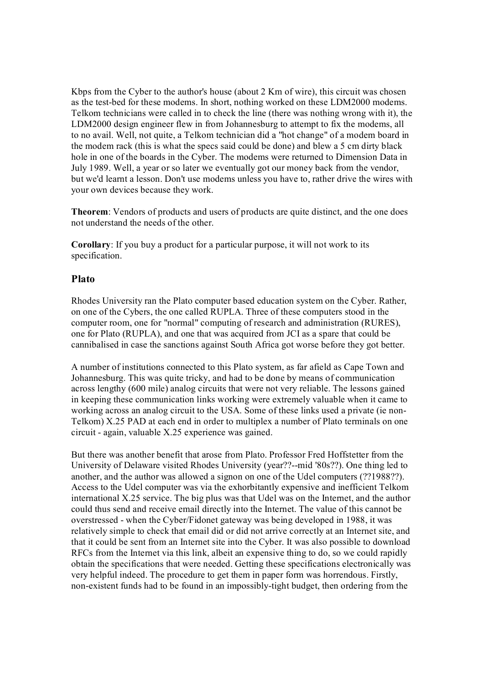Kbps from the Cyber to the author's house (about 2 Km of wire), this circuit was chosen as the test-bed for these modems. In short, nothing worked on these LDM2000 modems. Telkom technicians were called in to check the line (there was nothing wrong with it), the LDM2000 design engineer flew in from Johannesburg to attempt to fix the modems, all to no avail. Well, not quite, a Telkom technician did a "hot change" of a modem board in the modem rack (this is what the specs said could be done) and blew a 5 cm dirty black hole in one of the boards in the Cyber. The modems were returned to Dimension Data in July 1989. Well, a year or so later we eventually got our money back from the vendor, but we'd learnt a lesson. Don't use modems unless you have to, rather drive the wires with your own devices because they work.

**Theorem**: Vendors of products and users of products are quite distinct, and the one does not understand the needs of the other.

**Corollary**: If you buy a product for a particular purpose, it will not work to its specification.

### **Plato**

Rhodes University ran the Plato computer based education system on the Cyber. Rather, on one of the Cybers, the one called RUPLA. Three of these computers stood in the computer room, one for "normal" computing of research and administration (RURES), one for Plato (RUPLA), and one that was acquired from JCI as a spare that could be cannibalised in case the sanctions against South Africa got worse before they got better.

A number of institutions connected to this Plato system, as far afield as Cape Town and Johannesburg. This was quite tricky, and had to be done by means of communication across lengthy (600 mile) analog circuits that were not very reliable. The lessons gained in keeping these communication links working were extremely valuable when it came to working across an analog circuit to the USA. Some of these links used a private (ie non Telkom) X.25 PAD at each end in order to multiplex a number of Plato terminals on one circuit again, valuable X.25 experience was gained.

But there was another benefit that arose from Plato. Professor Fred Hoffstetter from the University of Delaware visited Rhodes University (year??--mid '80s??). One thing led to another, and the author was allowed a signon on one of the Udel computers (??1988??). Access to the Udel computer was via the exhorbitantly expensive and inefficient Telkom international X.25 service. The big plus was that Udel was on the Internet, and the author could thus send and receive email directly into the Internet. The value of this cannot be overstressed - when the Cyber/Fidonet gateway was being developed in 1988, it was relatively simple to check that email did or did not arrive correctly at an Internet site, and that it could be sent from an Internet site into the Cyber. It was also possible to download RFCs from the Internet via this link, albeit an expensive thing to do, so we could rapidly obtain the specifications that were needed. Getting these specifications electronically was very helpful indeed. The procedure to get them in paper form was horrendous. Firstly, non-existent funds had to be found in an impossibly-tight budget, then ordering from the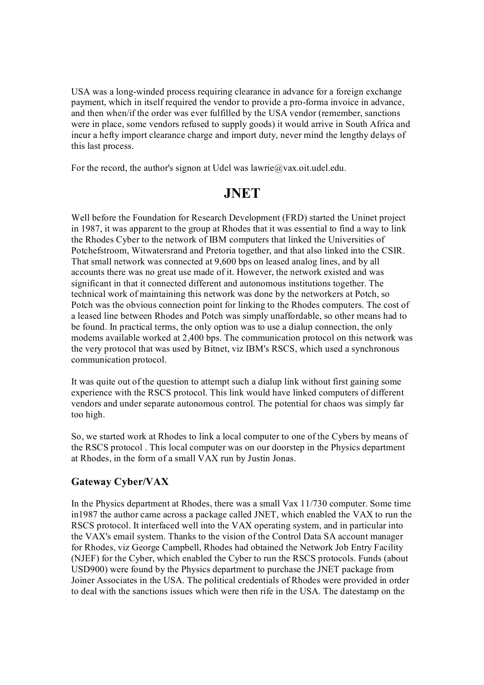USA was a long-winded process requiring clearance in advance for a foreign exchange payment, which in itself required the vendor to provide a pro-forma invoice in advance, and then when/if the order was ever fulfilled by the USA vendor (remember, sanctions were in place, some vendors refused to supply goods) it would arrive in South Africa and incur a hefty import clearance charge and import duty, never mind the lengthy delays of this last process.

For the record, the author's signon at Udel was lawrie@vax.oit.udel.edu.

## **JNET**

Well before the Foundation for Research Development (FRD) started the Uninet project in 1987, it was apparent to the group at Rhodes that it was essential to find a way to link the Rhodes Cyber to the network of IBM computers that linked the Universities of Potchefstroom, Witwatersrand and Pretoria together, and that also linked into the CSIR. That small network was connected at 9,600 bps on leased analog lines, and by all accounts there was no great use made of it. However, the network existed and was significant in that it connected different and autonomous institutions together. The technical work of maintaining this network was done by the networkers at Potch, so Potch was the obvious connection point for linking to the Rhodes computers. The cost of a leased line between Rhodes and Potch was simply unaffordable, so other means had to be found. In practical terms, the only option was to use a dialup connection, the only modems available worked at 2,400 bps. The communication protocol on this network was the very protocol that was used by Bitnet, viz IBM's RSCS, which used a synchronous communication protocol.

It was quite out of the question to attempt such a dialup link without first gaining some experience with the RSCS protocol. This link would have linked computers of different vendors and under separate autonomous control. The potential for chaos was simply far too high.

So, we started work at Rhodes to link a local computer to one of the Cybers by means of the RSCS protocol . This local computer was on our doorstep in the Physics department at Rhodes, in the form of a small VAX run by Justin Jonas.

## **Gateway Cyber/VAX**

In the Physics department at Rhodes, there was a small Vax 11/730 computer. Some time in1987 the author came across a package called JNET, which enabled the VAX to run the RSCS protocol. It interfaced well into the VAX operating system, and in particular into the VAX's email system. Thanks to the vision of the Control Data SA account manager for Rhodes, viz George Campbell, Rhodes had obtained the Network Job Entry Facility (NJEF) for the Cyber, which enabled the Cyber to run the RSCS protocols. Funds (about USD900) were found by the Physics department to purchase the JNET package from Joiner Associates in the USA. The political credentials of Rhodes were provided in order to deal with the sanctions issues which were then rife in the USA. The datestamp on the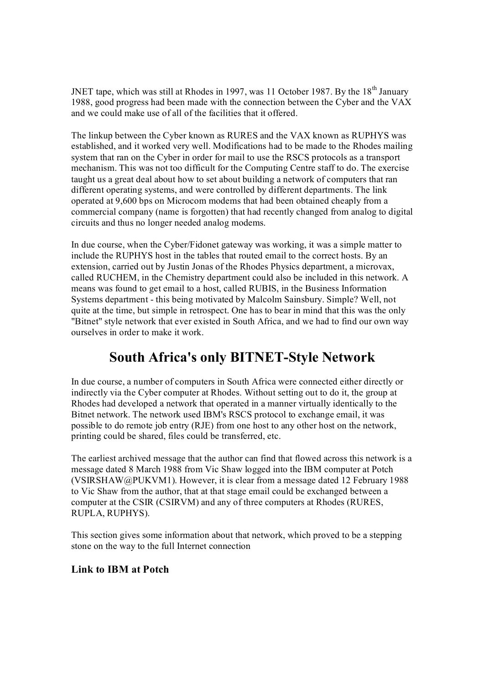JNET tape, which was still at Rhodes in 1997, was 11 October 1987. By the  $18<sup>th</sup>$  January 1988, good progress had been made with the connection between the Cyber and the VAX and we could make use of all of the facilities that it offered.

The linkup between the Cyber known as RURES and the VAX known as RUPHYS was established, and it worked very well. Modifications had to be made to the Rhodes mailing system that ran on the Cyber in order for mail to use the RSCS protocols as a transport mechanism. This was not too difficult for the Computing Centre staff to do. The exercise taught us a great deal about how to set about building a network of computers that ran different operating systems, and were controlled by different departments. The link operated at 9,600 bps on Microcom modems that had been obtained cheaply from a commercial company (name is forgotten) that had recently changed from analog to digital circuits and thus no longer needed analog modems.

In due course, when the Cyber/Fidonet gateway was working, it was a simple matter to include the RUPHYS host in the tables that routed email to the correct hosts. By an extension, carried out by Justin Jonas of the Rhodes Physics department, a microvax, called RUCHEM, in the Chemistry department could also be included in this network. A means was found to get email to a host, called RUBIS, in the Business Information Systems department - this being motivated by Malcolm Sainsbury. Simple? Well, not quite at the time, but simple in retrospect. One has to bear in mind that this was the only "Bitnet" style network that ever existed in South Africa, and we had to find our own way ourselves in order to make it work.

## **South Africa's only BITNET-Style Network**

In due course, a number of computers in South Africa were connected either directly or indirectly via the Cyber computer at Rhodes. Without setting out to do it, the group at Rhodes had developed a network that operated in a manner virtually identically to the Bitnet network. The network used IBM's RSCS protocol to exchange email, it was possible to do remote job entry (RJE) from one host to any other host on the network, printing could be shared, files could be transferred, etc.

The earliest archived message that the author can find that flowed across this network is a message dated 8 March 1988 from Vic Shaw logged into the IBM computer at Potch (VSIRSHAW@PUKVM1). However, it is clear from a message dated 12 February 1988 to Vic Shaw from the author, that at that stage email could be exchanged between a computer at the CSIR (CSIRVM) and any of three computers at Rhodes (RURES, RUPLA, RUPHYS).

This section gives some information about that network, which proved to be a stepping stone on the way to the full Internet connection

### **Link to IBM at Potch**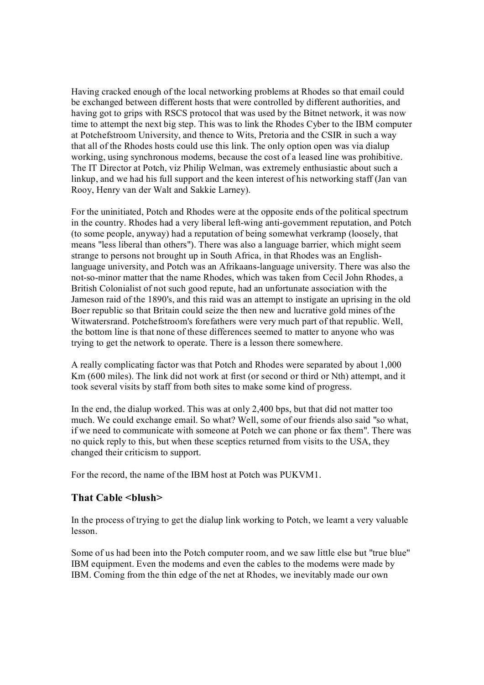Having cracked enough of the local networking problems at Rhodes so that email could be exchanged between different hosts that were controlled by different authorities, and having got to grips with RSCS protocol that was used by the Bitnet network, it was now time to attempt the next big step. This was to link the Rhodes Cyber to the IBM computer at Potchefstroom University, and thence to Wits, Pretoria and the CSIR in such a way that all of the Rhodes hosts could use this link. The only option open was via dialup working, using synchronous modems, because the cost of a leased line was prohibitive. The IT Director at Potch, viz Philip Welman, was extremely enthusiastic about such a linkup, and we had his full support and the keen interest of his networking staff (Jan van Rooy, Henry van der Walt and Sakkie Larney).

For the uninitiated, Potch and Rhodes were at the opposite ends of the political spectrum in the country. Rhodes had a very liberal left-wing anti-government reputation, and Potch (to some people, anyway) had a reputation of being somewhat verkramp (loosely, that means "less liberal than others"). There was also a language barrier, which might seem strange to persons not brought up in South Africa, in that Rhodes was an English language university, and Potch was an Afrikaans-language university. There was also the not-so-minor matter that the name Rhodes, which was taken from Cecil John Rhodes, a British Colonialist of not such good repute, had an unfortunate association with the Jameson raid of the 1890's, and this raid was an attempt to instigate an uprising in the old Boer republic so that Britain could seize the then new and lucrative gold mines of the Witwatersrand. Potchefstroom's forefathers were very much part of that republic. Well, the bottom line is that none of these differences seemed to matter to anyone who was trying to get the network to operate. There is a lesson there somewhere.

A really complicating factor was that Potch and Rhodes were separated by about 1,000 Km (600 miles). The link did not work at first (or second or third or Nth) attempt, and it took several visits by staff from both sites to make some kind of progress.

In the end, the dialup worked. This was at only 2,400 bps, but that did not matter too much. We could exchange email. So what? Well, some of our friends also said "so what, if we need to communicate with someone at Potch we can phone or fax them". There was no quick reply to this, but when these sceptics returned from visits to the USA, they changed their criticism to support.

For the record, the name of the IBM host at Potch was PUKVM1.

### **That Cable <blush>**

In the process of trying to get the dialup link working to Potch, we learnt a very valuable lesson.

Some of us had been into the Potch computer room, and we saw little else but "true blue" IBM equipment. Even the modems and even the cables to the modems were made by IBM. Coming from the thin edge of the net at Rhodes, we inevitably made our own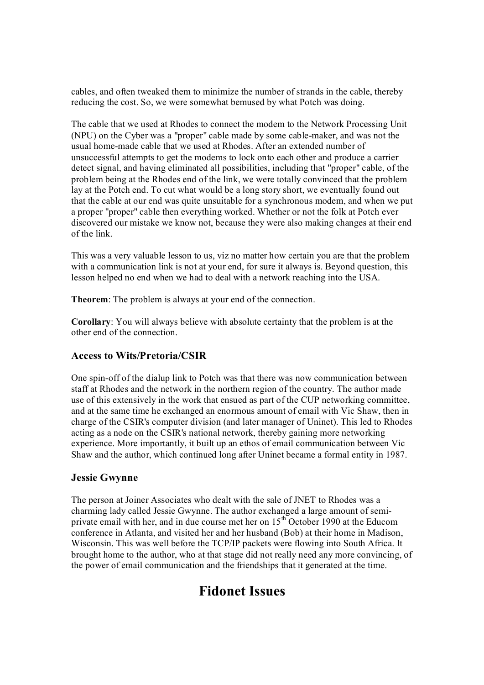cables, and often tweaked them to minimize the number of strands in the cable, thereby reducing the cost. So, we were somewhat bemused by what Potch was doing.

The cable that we used at Rhodes to connect the modem to the Network Processing Unit (NPU) on the Cyber was a "proper" cable made by some cable-maker, and was not the usual home-made cable that we used at Rhodes. After an extended number of unsuccessful attempts to get the modems to lock onto each other and produce a carrier detect signal, and having eliminated all possibilities, including that "proper" cable, of the problem being at the Rhodes end of the link, we were totally convinced that the problem lay at the Potch end. To cut what would be a long story short, we eventually found out that the cable at our end was quite unsuitable for a synchronous modem, and when we put a proper "proper" cable then everything worked. Whether or not the folk at Potch ever discovered our mistake we know not, because they were also making changes at their end of the link.

This was a very valuable lesson to us, viz no matter how certain you are that the problem with a communication link is not at your end, for sure it always is. Beyond question, this lesson helped no end when we had to deal with a network reaching into the USA.

**Theorem**: The problem is always at your end of the connection.

**Corollary**: You will always believe with absolute certainty that the problem is at the other end of the connection.

### **Access to Wits/Pretoria/CSIR**

One spin-off of the dialup link to Potch was that there was now communication between staff at Rhodes and the network in the northern region of the country. The author made use of this extensively in the work that ensued as part of the CUP networking committee, and at the same time he exchanged an enormous amount of email with Vic Shaw, then in charge of the CSIR's computer division (and later manager of Uninet). This led to Rhodes acting as a node on the CSIR's national network, thereby gaining more networking experience. More importantly, it built up an ethos of email communication between Vic Shaw and the author, which continued long after Uninet became a formal entity in 1987.

### **Jessie Gwynne**

The person at Joiner Associates who dealt with the sale of JNET to Rhodes was a charming lady called Jessie Gwynne. The author exchanged a large amount of semi private email with her, and in due course met her on  $15<sup>th</sup>$  October 1990 at the Educom conference in Atlanta, and visited her and her husband (Bob) at their home in Madison, Wisconsin. This was well before the TCP/IP packets were flowing into South Africa. It brought home to the author, who at that stage did not really need any more convincing, of the power of email communication and the friendships that it generated at the time.

## **Fidonet Issues**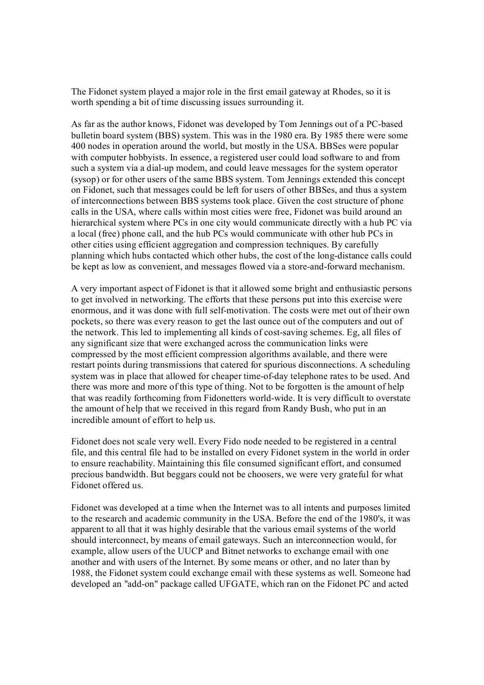The Fidonet system played a major role in the first email gateway at Rhodes, so it is worth spending a bit of time discussing issues surrounding it.

As far as the author knows, Fidonet was developed by Tom Jennings out of a PC-based bulletin board system (BBS) system. This was in the 1980 era. By 1985 there were some 400 nodes in operation around the world, but mostly in the USA. BBSes were popular with computer hobbyists. In essence, a registered user could load software to and from such a system via a dial-up modem, and could leave messages for the system operator (sysop) or for other users of the same BBS system. Tom Jennings extended this concept on Fidonet, such that messages could be left for users of other BBSes, and thus a system of interconnections between BBS systems took place. Given the cost structure of phone calls in the USA, where calls within most cities were free, Fidonet was build around an hierarchical system where PCs in one city would communicate directly with a hub PC via a local (free) phone call, and the hub PCs would communicate with other hub PCs in other cities using efficient aggregation and compression techniques. By carefully planning which hubs contacted which other hubs, the cost of the long-distance calls could be kept as low as convenient, and messages flowed via a store-and-forward mechanism.

A very important aspect of Fidonet is that it allowed some bright and enthusiastic persons to get involved in networking. The efforts that these persons put into this exercise were enormous, and it was done with full selfmotivation. The costs were met out of their own pockets, so there was every reason to get the last ounce out of the computers and out of the network. This led to implementing all kinds of cost-saving schemes. Eg, all files of any significant size that were exchanged across the communication links were compressed by the most efficient compression algorithms available, and there were restart points during transmissions that catered for spurious disconnections. A scheduling system was in place that allowed for cheaper time-of-day telephone rates to be used. And there was more and more of this type of thing. Not to be forgotten is the amount of help that was readily forthcoming from Fidonetters worldwide. It is very difficult to overstate the amount of help that we received in this regard from Randy Bush, who put in an incredible amount of effort to help us.

Fidonet does not scale very well. Every Fido node needed to be registered in a central file, and this central file had to be installed on every Fidonet system in the world in order to ensure reachability. Maintaining this file consumed significant effort, and consumed precious bandwidth. But beggars could not be choosers, we were very grateful for what Fidonet offered us.

Fidonet was developed at a time when the Internet was to all intents and purposes limited to the research and academic community in the USA. Before the end of the 1980's, it was apparent to all that it was highly desirable that the various email systems of the world should interconnect, by means of email gateways. Such an interconnection would, for example, allow users of the UUCP and Bitnet networks to exchange email with one another and with users of the Internet. By some means or other, and no later than by 1988, the Fidonet system could exchange email with these systems as well. Someone had developed an "add-on" package called UFGATE, which ran on the Fidonet PC and acted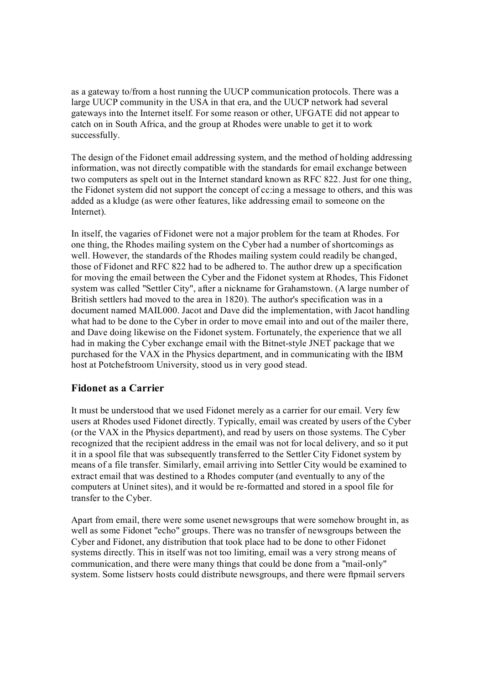as a gateway to/from a host running the UUCP communication protocols. There was a large UUCP community in the USA in that era, and the UUCP network had several gateways into the Internet itself. For some reason or other, UFGATE did not appear to catch on in South Africa, and the group at Rhodes were unable to get it to work successfully.

The design of the Fidonet email addressing system, and the method of holding addressing information, was not directly compatible with the standards for email exchange between two computers as spelt out in the Internet standard known as RFC 822. Just for one thing, the Fidonet system did not support the concept of cc:ing a message to others, and this was added as a kludge (as were other features, like addressing email to someone on the Internet).

In itself, the vagaries of Fidonet were not a major problem for the team at Rhodes. For one thing, the Rhodes mailing system on the Cyber had a number of shortcomings as well. However, the standards of the Rhodes mailing system could readily be changed, those of Fidonet and RFC 822 had to be adhered to. The author drew up a specification for moving the email between the Cyber and the Fidonet system at Rhodes, This Fidonet system was called "Settler City", after a nickname for Grahamstown. (A large number of British settlers had moved to the area in 1820). The author's specification was in a document named MAIL000. Jacot and Dave did the implementation, with Jacot handling what had to be done to the Cyber in order to move email into and out of the mailer there, and Dave doing likewise on the Fidonet system. Fortunately, the experience that we all had in making the Cyber exchange email with the Bitnet-style JNET package that we purchased for the VAX in the Physics department, and in communicating with the IBM host at Potchefstroom University, stood us in very good stead.

### **Fidonet as a Carrier**

It must be understood that we used Fidonet merely as a carrier for our email. Very few users at Rhodes used Fidonet directly. Typically, email was created by users of the Cyber (or the VAX in the Physics department), and read by users on those systems. The Cyber recognized that the recipient address in the email was not for local delivery, and so it put it in a spool file that was subsequently transferred to the Settler City Fidonet system by means of a file transfer. Similarly, email arriving into Settler City would be examined to extract email that was destined to a Rhodes computer (and eventually to any of the computers at Uninet sites), and it would be reformatted and stored in a spool file for transfer to the Cyber.

Apart from email, there were some usenet newsgroups that were somehow brought in, as well as some Fidonet "echo" groups. There was no transfer of newsgroups between the Cyber and Fidonet, any distribution that took place had to be done to other Fidonet systems directly. This in itself was not too limiting, email was a very strong means of communication, and there were many things that could be done from a "mail-only" system. Some listserv hosts could distribute newsgroups, and there were ftpmail servers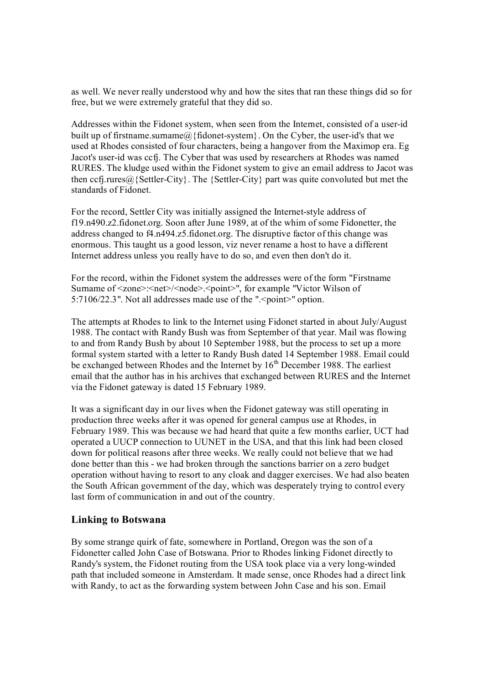as well. We never really understood why and how the sites that ran these things did so for free, but we were extremely grateful that they did so.

Addresses within the Fidonet system, when seen from the Internet, consisted of a userid built up of firstname.surname@{fidonet-system}. On the Cyber, the user-id's that we used at Rhodes consisted of four characters, being a hangover from the Maximop era. Eg Jacot's user-id was ccfj. The Cyber that was used by researchers at Rhodes was named RURES. The kludge used within the Fidonet system to give an email address to Jacot was then ccf<sub>1</sub>.rures@{Settler-City}. The {Settler-City} part was quite convoluted but met the standards of Fidonet.

For the record, Settler City was initially assigned the Internet-style address of f19.n490.z2.fidonet.org. Soon after June 1989, at of the whim of some Fidonetter, the address changed to f4.n494.z5.fidonet.org. The disruptive factor of this change was enormous. This taught us a good lesson, viz never rename a host to have a different Internet address unless you really have to do so, and even then don't do it.

For the record, within the Fidonet system the addresses were of the form "Firstname Surname of <zone>:<net>/<node>.<point>", for example "Victor Wilson of 5:7106/22.3". Not all addresses made use of the " $\leq$  point  $\geq$ " option.

The attempts at Rhodes to link to the Internet using Fidonet started in about July/August 1988. The contact with Randy Bush was from September of that year. Mail was flowing to and from Randy Bush by about 10 September 1988, but the process to set up a more formal system started with a letter to Randy Bush dated 14 September 1988. Email could be exchanged between Rhodes and the Internet by  $16<sup>th</sup>$  December 1988. The earliest email that the author has in his archives that exchanged between RURES and the Internet via the Fidonet gateway is dated 15 February 1989.

It was a significant day in our lives when the Fidonet gateway was still operating in production three weeks after it was opened for general campus use at Rhodes, in February 1989. This was because we had heard that quite a few months earlier, UCT had operated a UUCP connection to UUNET in the USA, and that this link had been closed down for political reasons after three weeks. We really could not believe that we had done better than this - we had broken through the sanctions barrier on a zero budget operation without having to resort to any cloak and dagger exercises. We had also beaten the South African government of the day, which was desperately trying to control every last form of communication in and out of the country.

### **Linking to Botswana**

By some strange quirk of fate, somewhere in Portland, Oregon was the son of a Fidonetter called John Case of Botswana. Prior to Rhodes linking Fidonet directly to Randy's system, the Fidonet routing from the USA took place via a very longwinded path that included someone in Amsterdam. It made sense, once Rhodes had a direct link with Randy, to act as the forwarding system between John Case and his son. Email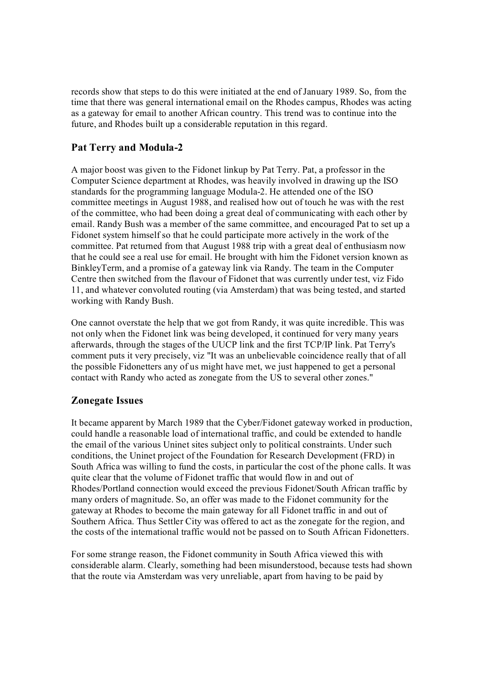records show that steps to do this were initiated at the end of January 1989. So, from the time that there was general international email on the Rhodes campus, Rhodes was acting as a gateway for email to another African country. This trend was to continue into the future, and Rhodes built up a considerable reputation in this regard.

### **Pat Terry and Modula2**

A major boost was given to the Fidonet linkup by Pat Terry. Pat, a professor in the Computer Science department at Rhodes, was heavily involved in drawing up the ISO standards for the programming language Modula-2. He attended one of the ISO committee meetings in August 1988, and realised how out of touch he was with the rest of the committee, who had been doing a great deal of communicating with each other by email. Randy Bush was a member of the same committee, and encouraged Pat to set up a Fidonet system himself so that he could participate more actively in the work of the committee. Pat returned from that August 1988 trip with a great deal of enthusiasm now that he could see a real use for email. He brought with him the Fidonet version known as BinkleyTerm, and a promise of a gateway link via Randy. The team in the Computer Centre then switched from the flavour of Fidonet that was currently under test, viz Fido 11, and whatever convoluted routing (via Amsterdam) that was being tested, and started working with Randy Bush.

One cannot overstate the help that we got from Randy, it was quite incredible. This was not only when the Fidonet link was being developed, it continued for very many years afterwards, through the stages of the UUCP link and the first TCP/IP link. Pat Terry's comment puts it very precisely, viz "It was an unbelievable coincidence really that of all the possible Fidonetters any of us might have met, we just happened to get a personal contact with Randy who acted as zonegate from the US to several other zones."

### **Zonegate Issues**

It became apparent by March 1989 that the Cyber/Fidonet gateway worked in production, could handle a reasonable load of international traffic, and could be extended to handle the email of the various Uninet sites subject only to political constraints. Under such conditions, the Uninet project of the Foundation for Research Development (FRD) in South Africa was willing to fund the costs, in particular the cost of the phone calls. It was quite clear that the volume of Fidonet traffic that would flow in and out of Rhodes/Portland connection would exceed the previous Fidonet/South African traffic by many orders of magnitude. So, an offer was made to the Fidonet community for the gateway at Rhodes to become the main gateway for all Fidonet traffic in and out of Southern Africa. Thus Settler City was offered to act as the zonegate for the region, and the costs of the international traffic would not be passed on to South African Fidonetters.

For some strange reason, the Fidonet community in South Africa viewed this with considerable alarm. Clearly, something had been misunderstood, because tests had shown that the route via Amsterdam was very unreliable, apart from having to be paid by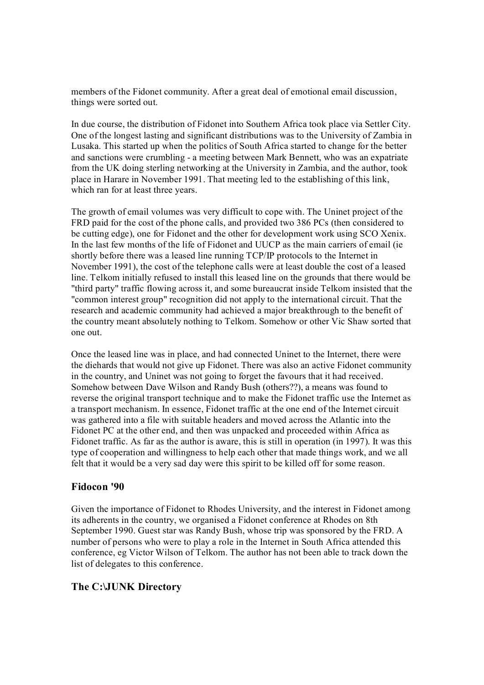members of the Fidonet community. After a great deal of emotional email discussion, things were sorted out.

In due course, the distribution of Fidonet into Southern Africa took place via Settler City. One of the longest lasting and significant distributions was to the University of Zambia in Lusaka. This started up when the politics of South Africa started to change for the better and sanctions were crumbling - a meeting between Mark Bennett, who was an expatriate from the UK doing sterling networking at the University in Zambia, and the author, took place in Harare in November 1991. That meeting led to the establishing of this link, which ran for at least three years.

The growth of email volumes was very difficult to cope with. The Uninet project of the FRD paid for the cost of the phone calls, and provided two 386 PCs (then considered to be cutting edge), one for Fidonet and the other for development work using SCO Xenix. In the last few months of the life of Fidonet and UUCP as the main carriers of email (ie shortly before there was a leased line running TCP/IP protocols to the Internet in November 1991), the cost of the telephone calls were at least double the cost of a leased line. Telkom initially refused to install this leased line on the grounds that there would be "third party" traffic flowing across it, and some bureaucrat inside Telkom insisted that the "common interest group" recognition did not apply to the international circuit. That the research and academic community had achieved a major breakthrough to the benefit of the country meant absolutely nothing to Telkom. Somehow or other Vic Shaw sorted that one out.

Once the leased line was in place, and had connected Uninet to the Internet, there were the diehards that would not give up Fidonet. There was also an active Fidonet community in the country, and Uninet was not going to forget the favours that it had received. Somehow between Dave Wilson and Randy Bush (others??), a means was found to reverse the original transport technique and to make the Fidonet traffic use the Internet as a transport mechanism. In essence, Fidonet traffic at the one end of the Internet circuit was gathered into a file with suitable headers and moved across the Atlantic into the Fidonet PC at the other end, and then was unpacked and proceeded within Africa as Fidonet traffic. As far as the author is aware, this is still in operation (in 1997). It was this type of cooperation and willingness to help each other that made things work, and we all felt that it would be a very sad day were this spirit to be killed off for some reason.

#### **Fidocon '90**

Given the importance of Fidonet to Rhodes University, and the interest in Fidonet among its adherents in the country, we organised a Fidonet conference at Rhodes on 8th September 1990. Guest star was Randy Bush, whose trip was sponsored by the FRD. A number of persons who were to play a role in the Internet in South Africa attended this conference, eg Victor Wilson of Telkom. The author has not been able to track down the list of delegates to this conference.

#### **The C:\JUNK Directory**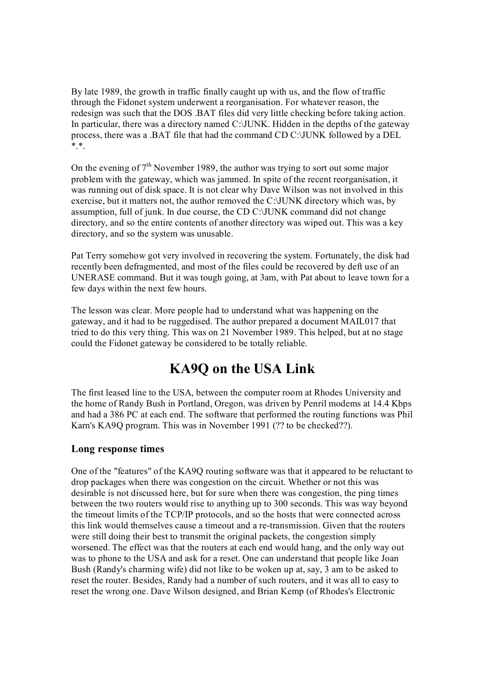By late 1989, the growth in traffic finally caught up with us, and the flow of traffic through the Fidonet system underwent a reorganisation. For whatever reason, the redesign was such that the DOS .BAT files did very little checking before taking action. In particular, there was a directory named C:\JUNK. Hidden in the depths of the gateway process, there was a .BAT file that had the command CD C:\JUNK followed by a DEL  $*.*$ .

On the evening of  $7<sup>th</sup>$  November 1989, the author was trying to sort out some major problem with the gateway, which was jammed. In spite of the recent reorganisation, it was running out of disk space. It is not clear why Dave Wilson was not involved in this exercise, but it matters not, the author removed the C:\JUNK directory which was, by assumption, full of junk. In due course, the CD C:\JUNK command did not change directory, and so the entire contents of another directory was wiped out. This was a key directory, and so the system was unusable.

Pat Terry somehow got very involved in recovering the system. Fortunately, the disk had recently been defragmented, and most of the files could be recovered by deft use of an UNERASE command. But it was tough going, at 3am, with Pat about to leave town for a few days within the next few hours.

The lesson was clear. More people had to understand what was happening on the gateway, and it had to be ruggedised. The author prepared a document MAIL017 that tried to do this very thing. This was on 21 November 1989. This helped, but at no stage could the Fidonet gateway be considered to be totally reliable.

## **KA9Q on the USA Link**

The first leased line to the USA, between the computer room at Rhodes University and the home of Randy Bush in Portland, Oregon, was driven by Penril modems at 14.4 Kbps and had a 386 PC at each end. The software that performed the routing functions was Phil Karn's KA9Q program. This was in November 1991 (?? to be checked??).

### **Long response times**

One of the "features" of the KA9Q routing software was that it appeared to be reluctant to drop packages when there was congestion on the circuit. Whether or not this was desirable is not discussed here, but for sure when there was congestion, the ping times between the two routers would rise to anything up to 300 seconds. This was way beyond the timeout limits of the TCP/IP protocols, and so the hosts that were connected across this link would themselves cause a timeout and a re-transmission. Given that the routers were still doing their best to transmit the original packets, the congestion simply worsened. The effect was that the routers at each end would hang, and the only way out was to phone to the USA and ask for a reset. One can understand that people like Joan Bush (Randy's charming wife) did not like to be woken up at, say, 3 am to be asked to reset the router. Besides, Randy had a number of such routers, and it was all to easy to reset the wrong one. Dave Wilson designed, and Brian Kemp (of Rhodes's Electronic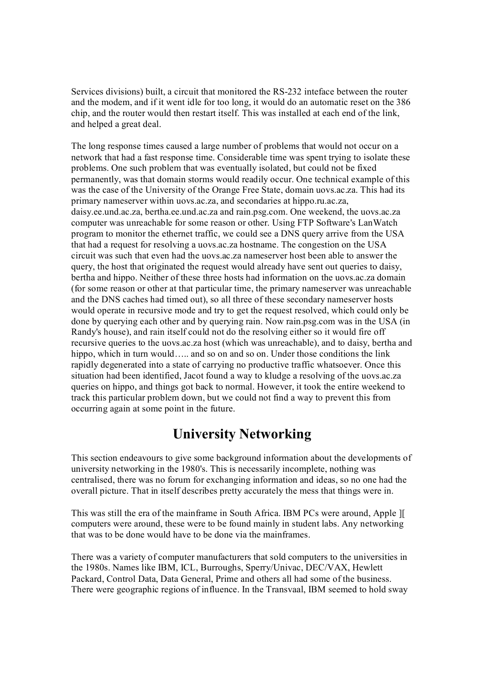Services divisions) built, a circuit that monitored the RS232 inteface between the router and the modem, and if it went idle for too long, it would do an automatic reset on the 386 chip, and the router would then restart itself. This was installed at each end of the link, and helped a great deal.

The long response times caused a large number of problems that would not occur on a network that had a fast response time. Considerable time was spent trying to isolate these problems. One such problem that was eventually isolated, but could not be fixed permanently, was that domain storms would readily occur. One technical example of this was the case of the University of the Orange Free State, domain uovs.ac.za. This had its primary nameserver within uovs.ac.za, and secondaries at hippo.ru.ac.za, daisy.ee.und.ac.za, bertha.ee.und.ac.za and rain.psg.com. One weekend, the uovs.ac.za computer was unreachable for some reason or other. Using FTP Software's LanWatch program to monitor the ethernet traffic, we could see a DNS query arrive from the USA that had a request for resolving a uovs.ac.za hostname. The congestion on the USA circuit was such that even had the uovs.ac.za nameserver host been able to answer the query, the host that originated the request would already have sent out queries to daisy, bertha and hippo. Neither of these three hosts had information on the uovs.ac.za domain (for some reason or other at that particular time, the primary nameserver was unreachable and the DNS caches had timed out), so all three of these secondary nameserver hosts would operate in recursive mode and try to get the request resolved, which could only be done by querying each other and by querying rain. Now rain.psg.com was in the USA (in Randy's house), and rain itself could not do the resolving either so it would fire off recursive queries to the uovs.ac.za host (which was unreachable), and to daisy, bertha and hippo, which in turn would….. and so on and so on. Under those conditions the link rapidly degenerated into a state of carrying no productive traffic whatsoever. Once this situation had been identified, Jacot found a way to kludge a resolving of the uovs.ac.za queries on hippo, and things got back to normal. However, it took the entire weekend to track this particular problem down, but we could not find a way to prevent this from occurring again at some point in the future.

## **University Networking**

This section endeavours to give some background information about the developments of university networking in the 1980's. This is necessarily incomplete, nothing was centralised, there was no forum for exchanging information and ideas, so no one had the overall picture. That in itself describes pretty accurately the mess that things were in.

This was still the era of the mainframe in South Africa. IBM PCs were around, Apple ][ computers were around, these were to be found mainly in student labs. Any networking that was to be done would have to be done via the mainframes.

There was a variety of computer manufacturers that sold computers to the universities in the 1980s. Names like IBM, ICL, Burroughs, Sperry/Univac, DEC/VAX, Hewlett Packard, Control Data, Data General, Prime and others all had some of the business. There were geographic regions of influence. In the Transvaal, IBM seemed to hold sway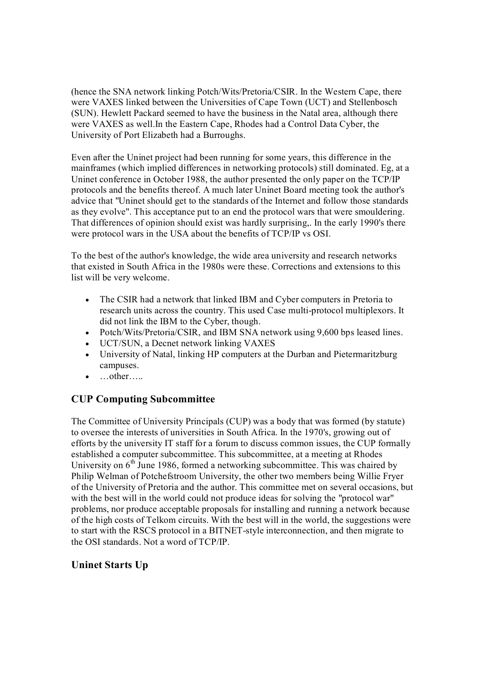(hence the SNA network linking Potch/Wits/Pretoria/CSIR. In the Western Cape, there were VAXES linked between the Universities of Cape Town (UCT) and Stellenbosch (SUN). Hewlett Packard seemed to have the business in the Natal area, although there were VAXES as well.In the Eastern Cape, Rhodes had a Control Data Cyber, the University of Port Elizabeth had a Burroughs.

Even after the Uninet project had been running for some years, this difference in the mainframes (which implied differences in networking protocols) still dominated. Eg, at a Uninet conference in October 1988, the author presented the only paper on the TCP/IP protocols and the benefits thereof. A much later Uninet Board meeting took the author's advice that "Uninet should get to the standards of the Internet and follow those standards as they evolve". This acceptance put to an end the protocol wars that were smouldering. That differences of opinion should exist was hardly surprising,. In the early 1990's there were protocol wars in the USA about the benefits of TCP/IP vs OSI.

To the best of the author's knowledge, the wide area university and research networks that existed in South Africa in the 1980s were these. Corrections and extensions to this list will be very welcome.

- · The CSIR had a network that linked IBM and Cyber computers in Pretoria to research units across the country. This used Case multiprotocol multiplexors. It did not link the IBM to the Cyber, though.
- · Potch/Wits/Pretoria/CSIR, and IBM SNA network using 9,600 bps leased lines.
- · UCT/SUN, a Decnet network linking VAXES
- · University of Natal, linking HP computers at the Durban and Pietermaritzburg campuses.
- …other…..

## **CUP Computing Subcommittee**

The Committee of University Principals (CUP) was a body that was formed (by statute) to oversee the interests of universities in South Africa. In the 1970's, growing out of efforts by the university IT staff for a forum to discuss common issues, the CUP formally established a computer subcommittee. This subcommittee, at a meeting at Rhodes University on  $6<sup>th</sup>$  June 1986, formed a networking subcommittee. This was chaired by Philip Welman of Potchefstroom University, the other two members being Willie Fryer of the University of Pretoria and the author. This committee met on several occasions, but with the best will in the world could not produce ideas for solving the "protocol war" problems, nor produce acceptable proposals for installing and running a network because of the high costs of Telkom circuits. With the best will in the world, the suggestions were to start with the RSCS protocol in a BITNET-style interconnection, and then migrate to the OSI standards. Not a word of TCP/IP.

## **Uninet Starts Up**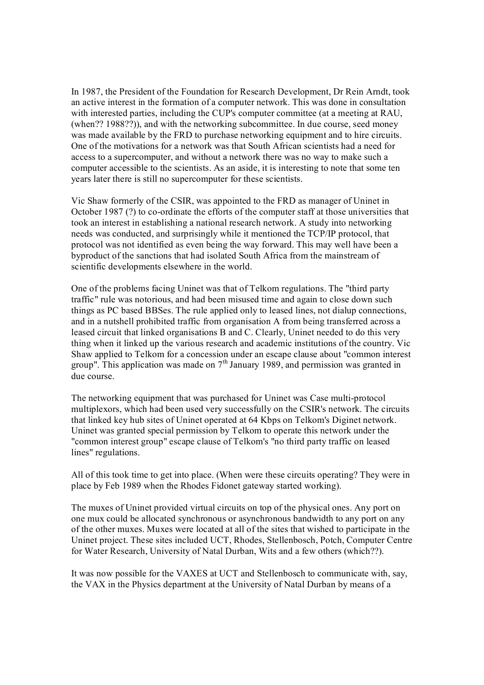In 1987, the President of the Foundation for Research Development, Dr Rein Arndt, took an active interest in the formation of a computer network. This was done in consultation with interested parties, including the CUP's computer committee (at a meeting at RAU, (when?? 1988??)), and with the networking subcommittee. In due course, seed money was made available by the FRD to purchase networking equipment and to hire circuits. One of the motivations for a network was that South African scientists had a need for access to a supercomputer, and without a network there was no way to make such a computer accessible to the scientists. As an aside, it is interesting to note that some ten years later there is still no supercomputer for these scientists.

Vic Shaw formerly of the CSIR, was appointed to the FRD as manager of Uninet in October 1987  $(?)$  to co-ordinate the efforts of the computer staff at those universities that took an interest in establishing a national research network. A study into networking needs was conducted, and surprisingly while it mentioned the TCP/IP protocol, that protocol was not identified as even being the way forward. This may well have been a byproduct of the sanctions that had isolated South Africa from the mainstream of scientific developments elsewhere in the world.

One of the problems facing Uninet was that of Telkom regulations. The "third party traffic" rule was notorious, and had been misused time and again to close down such things as PC based BBSes. The rule applied only to leased lines, not dialup connections, and in a nutshell prohibited traffic from organisation A from being transferred across a leased circuit that linked organisations B and C. Clearly, Uninet needed to do this very thing when it linked up the various research and academic institutions of the country. Vic Shaw applied to Telkom for a concession under an escape clause about "common interest group". This application was made on  $7<sup>th</sup>$  January 1989, and permission was granted in due course.

The networking equipment that was purchased for Uninet was Case multi-protocol multiplexors, which had been used very successfully on the CSIR's network. The circuits that linked key hub sites of Uninet operated at 64 Kbps on Telkom's Diginet network. Uninet was granted special permission by Telkom to operate this network under the "common interest group" escape clause of Telkom's "no third party traffic on leased lines" regulations.

All of this took time to get into place. (When were these circuits operating? They were in place by Feb 1989 when the Rhodes Fidonet gateway started working).

The muxes of Uninet provided virtual circuits on top of the physical ones. Any port on one mux could be allocated synchronous or asynchronous bandwidth to any port on any of the other muxes. Muxes were located at all of the sites that wished to participate in the Uninet project. These sites included UCT, Rhodes, Stellenbosch, Potch, Computer Centre for Water Research, University of Natal Durban, Wits and a few others (which??).

It was now possible for the VAXES at UCT and Stellenbosch to communicate with, say, the VAX in the Physics department at the University of Natal Durban by means of a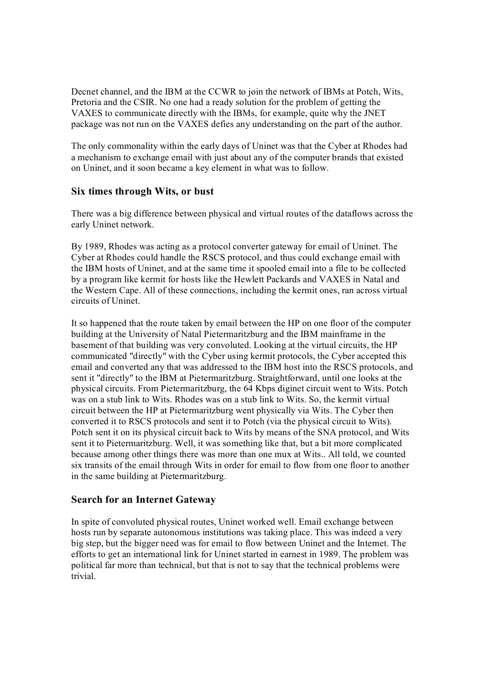Decnet channel, and the IBM at the CCWR to join the network of IBMs at Potch, Wits, Pretoria and the CSIR. No one had a ready solution for the problem of getting the VAXES to communicate directly with the IBMs, for example, quite why the JNET package was not run on the VAXES defies any understanding on the part of the author.

The only commonality within the early days of Uninet was that the Cyber at Rhodes had a mechanism to exchange email with just about any of the computer brands that existed on Uninet, and it soon became a key element in what was to follow.

### **Six times through Wits, or bust**

There was a big difference between physical and virtual routes of the dataflows across the early Uninet network.

By 1989, Rhodes was acting as a protocol converter gateway for email of Uninet. The Cyber at Rhodes could handle the RSCS protocol, and thus could exchange email with the IBM hosts of Uninet, and at the same time it spooled email into a file to be collected by a program like kermit for hosts like the Hewlett Packards and VAXES in Natal and the Western Cape. All of these connections, including the kermit ones, ran across virtual circuits of Uninet.

It so happened that the route taken by email between the HP on one floor of the computer building at the University of Natal Pietermaritzburg and the IBM mainframe in the basement of that building was very convoluted. Looking at the virtual circuits, the HP communicated "directly" with the Cyber using kermit protocols, the Cyber accepted this email and converted any that was addressed to the IBM host into the RSCS protocols, and sent it "directly" to the IBM at Pietermaritzburg. Straightforward, until one looks at the physical circuits. From Pietermaritzburg, the 64 Kbps diginet circuit went to Wits. Potch was on a stub link to Wits. Rhodes was on a stub link to Wits. So, the kermit virtual circuit between the HP at Pietermaritzburg went physically via Wits. The Cyber then converted it to RSCS protocols and sent it to Potch (via the physical circuit to Wits). Potch sent it on its physical circuit back to Wits by means of the SNA protocol, and Wits sent it to Pietermaritzburg. Well, it was something like that, but a bit more complicated because among other things there was more than one mux at Wits.. All told, we counted six transits of the email through Wits in order for email to flow from one floor to another in the same building at Pietermaritzburg.

### **Search for an Internet Gateway**

In spite of convoluted physical routes, Uninet worked well. Email exchange between hosts run by separate autonomous institutions was taking place. This was indeed a very big step, but the bigger need was for email to flow between Uninet and the Internet. The efforts to get an international link for Uninet started in earnest in 1989. The problem was political far more than technical, but that is not to say that the technical problems were trivial.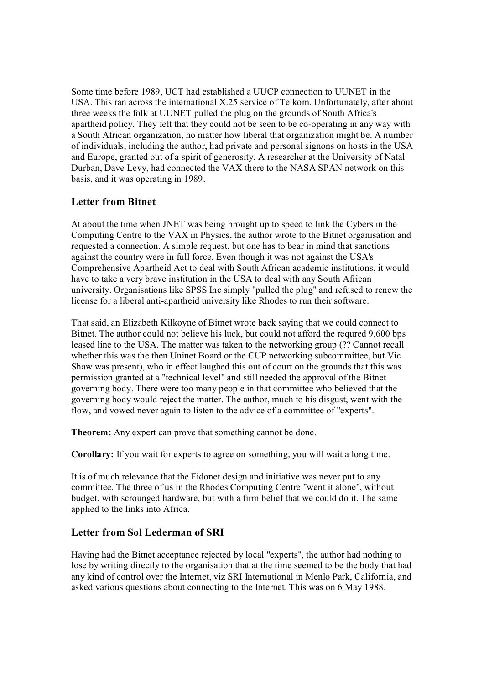Some time before 1989, UCT had established a UUCP connection to UUNET in the USA. This ran across the international X.25 service of Telkom. Unfortunately, after about three weeks the folk at UUNET pulled the plug on the grounds of South Africa's apartheid policy. They felt that they could not be seen to be co-operating in any way with a South African organization, no matter how liberal that organization might be. A number of individuals, including the author, had private and personal signons on hosts in the USA and Europe, granted out of a spirit of generosity. A researcher at the University of Natal Durban, Dave Levy, had connected the VAX there to the NASA SPAN network on this basis, and it was operating in 1989.

## **Letter from Bitnet**

At about the time when JNET was being brought up to speed to link the Cybers in the Computing Centre to the VAX in Physics, the author wrote to the Bitnet organisation and requested a connection. A simple request, but one has to bear in mind that sanctions against the country were in full force. Even though it was not against the USA's Comprehensive Apartheid Act to deal with South African academic institutions, it would have to take a very brave institution in the USA to deal with any South African university. Organisations like SPSS Inc simply "pulled the plug" and refused to renew the license for a liberal anti-apartheid university like Rhodes to run their software.

That said, an Elizabeth Kilkoyne of Bitnet wrote back saying that we could connect to Bitnet. The author could not believe his luck, but could not afford the requred 9,600 bps leased line to the USA. The matter was taken to the networking group (?? Cannot recall whether this was the then Uninet Board or the CUP networking subcommittee, but Vic Shaw was present), who in effect laughed this out of court on the grounds that this was permission granted at a "technical level" and still needed the approval of the Bitnet governing body. There were too many people in that committee who believed that the governing body would reject the matter. The author, much to his disgust, went with the flow, and vowed never again to listen to the advice of a committee of "experts".

**Theorem:** Any expert can prove that something cannot be done.

**Corollary:** If you wait for experts to agree on something, you will wait a long time.

It is of much relevance that the Fidonet design and initiative was never put to any committee. The three of us in the Rhodes Computing Centre "went it alone", without budget, with scrounged hardware, but with a firm belief that we could do it. The same applied to the links into Africa.

## **Letter from Sol Lederman of SRI**

Having had the Bitnet acceptance rejected by local "experts", the author had nothing to lose by writing directly to the organisation that at the time seemed to be the body that had any kind of control over the Internet, viz SRI International in Menlo Park, California, and asked various questions about connecting to the Internet. This was on 6 May 1988.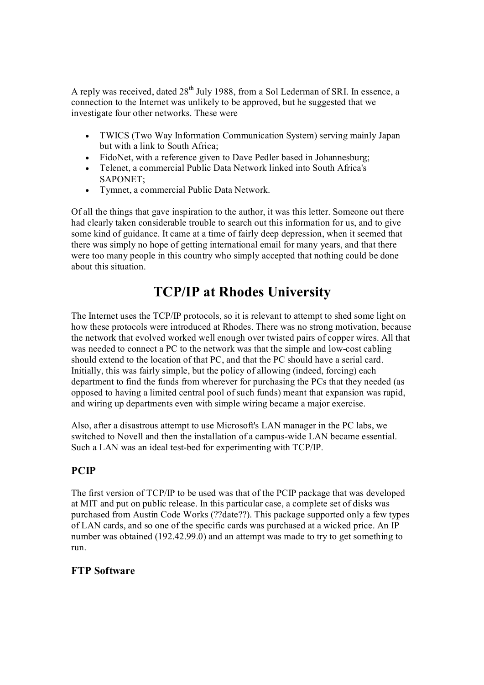A reply was received, dated 28<sup>th</sup> July 1988, from a Sol Lederman of SRI. In essence, a connection to the Internet was unlikely to be approved, but he suggested that we investigate four other networks. These were

- · TWICS (Two Way Information Communication System) serving mainly Japan but with a link to South Africa;
- FidoNet, with a reference given to Dave Pedler based in Johannesburg;
- · Telenet, a commercial Public Data Network linked into South Africa's SAPONET;
- · Tymnet, a commercial Public Data Network.

Of all the things that gave inspiration to the author, it was this letter. Someone out there had clearly taken considerable trouble to search out this information for us, and to give some kind of guidance. It came at a time of fairly deep depression, when it seemed that there was simply no hope of getting international email for many years, and that there were too many people in this country who simply accepted that nothing could be done about this situation.

## **TCP/IP at Rhodes University**

The Internet uses the TCP/IP protocols, so it is relevant to attempt to shed some light on how these protocols were introduced at Rhodes. There was no strong motivation, because the network that evolved worked well enough over twisted pairs of copper wires. All that was needed to connect a PC to the network was that the simple and low-cost cabling should extend to the location of that PC, and that the PC should have a serial card. Initially, this was fairly simple, but the policy of allowing (indeed, forcing) each department to find the funds from wherever for purchasing the PCs that they needed (as opposed to having a limited central pool of such funds) meant that expansion was rapid, and wiring up departments even with simple wiring became a major exercise.

Also, after a disastrous attempt to use Microsoft's LAN manager in the PC labs, we switched to Novell and then the installation of a campus-wide LAN became essential. Such a LAN was an ideal test-bed for experimenting with TCP/IP.

## **PCIP**

The first version of TCP/IP to be used was that of the PCIP package that was developed at MIT and put on public release. In this particular case, a complete set of disks was purchased from Austin Code Works (??date??). This package supported only a few types of LAN cards, and so one of the specific cards was purchased at a wicked price. An IP number was obtained (192.42.99.0) and an attempt was made to try to get something to run.

## **FTP Software**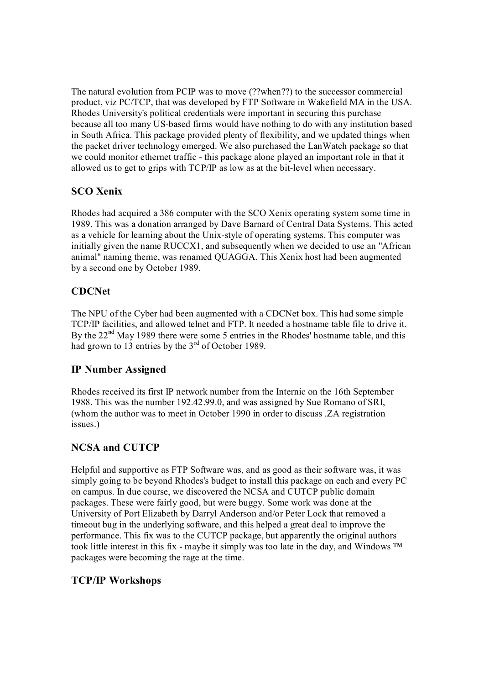The natural evolution from PCIP was to move (??when??) to the successor commercial product, viz PC/TCP, that was developed by FTP Software in Wakefield MA in the USA. Rhodes University's political credentials were important in securing this purchase because all too many US-based firms would have nothing to do with any institution based in South Africa. This package provided plenty of flexibility, and we updated things when the packet driver technology emerged. We also purchased the LanWatch package so that we could monitor ethernet traffic - this package alone played an important role in that it allowed us to get to grips with TCP/IP as low as at the bit-level when necessary.

## **SCO Xenix**

Rhodes had acquired a 386 computer with the SCO Xenix operating system some time in 1989. This was a donation arranged by Dave Barnard of Central Data Systems. This acted as a vehicle for learning about the Unix-style of operating systems. This computer was initially given the name RUCCX1, and subsequently when we decided to use an "African animal" naming theme, was renamed QUAGGA. This Xenix host had been augmented by a second one by October 1989.

## **CDCNet**

The NPU of the Cyber had been augmented with a CDCNet box. This had some simple TCP/IP facilities, and allowed telnet and FTP. It needed a hostname table file to drive it. By the  $22<sup>nd</sup>$  May 1989 there were some 5 entries in the Rhodes' hostname table, and this had grown to 13 entries by the  $3<sup>rd</sup>$  of October 1989.

## **IP Number Assigned**

Rhodes received its first IP network number from the Internic on the 16th September 1988. This was the number 192.42.99.0, and was assigned by Sue Romano of SRI, (whom the author was to meet in October 1990 in order to discuss .ZA registration issues.)

## **NCSA and CUTCP**

Helpful and supportive as FTP Software was, and as good as their software was, it was simply going to be beyond Rhodes's budget to install this package on each and every PC on campus. In due course, we discovered the NCSA and CUTCP public domain packages. These were fairly good, but were buggy. Some work was done at the University of Port Elizabeth by Darryl Anderson and/or Peter Lock that removed a timeout bug in the underlying software, and this helped a great deal to improve the performance. This fix was to the CUTCP package, but apparently the original authors took little interest in this fix - maybe it simply was too late in the day, and Windows  $TM$ packages were becoming the rage at the time.

## **TCP/IP Workshops**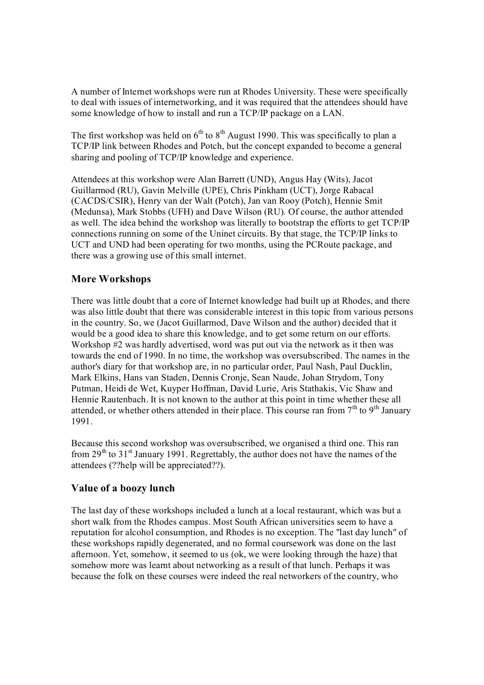A number of Internet workshops were run at Rhodes University. These were specifically to deal with issues of internetworking, and it was required that the attendees should have some knowledge of how to install and run a TCP/IP package on a LAN.

The first workshop was held on  $6<sup>th</sup>$  to  $8<sup>th</sup>$  August 1990. This was specifically to plan a TCP/IP link between Rhodes and Potch, but the concept expanded to become a general sharing and pooling of TCP/IP knowledge and experience.

Attendees at this workshop were Alan Barrett (UND), Angus Hay (Wits), Jacot Guillarmod (RU), Gavin Melville (UPE), Chris Pinkham (UCT), Jorge Rabacal (CACDS/CSIR), Henry van der Walt (Potch), Jan van Rooy (Potch), Hennie Smit (Medunsa), Mark Stobbs (UFH) and Dave Wilson (RU). Of course, the author attended as well. The idea behind the workshop was literally to bootstrap the efforts to get TCP/IP connections running on some of the Uninet circuits. By that stage, the TCP/IP links to UCT and UND had been operating for two months, using the PCRoute package, and there was a growing use of this small internet.

## **More Workshops**

There was little doubt that a core of Internet knowledge had built up at Rhodes, and there was also little doubt that there was considerable interest in this topic from various persons in the country. So, we (Jacot Guillarmod, Dave Wilson and the author) decided that it would be a good idea to share this knowledge, and to get some return on our efforts. Workshop #2 was hardly advertised, word was put out via the network as it then was towards the end of 1990. In no time, the workshop was oversubscribed. The names in the author's diary for that workshop are, in no particular order, Paul Nash, Paul Ducklin, Mark Elkins, Hans van Staden, Dennis Cronje, Sean Naude, Johan Strydom, Tony Putman, Heidi de Wet, Kuyper Hoffman, David Lurie, Aris Stathakis, Vic Shaw and Hennie Rautenbach. It is not known to the author at this point in time whether these all attended, or whether others attended in their place. This course ran from  $7<sup>th</sup>$  to  $9<sup>th</sup>$  January 1991.

Because this second workshop was oversubscribed, we organised a third one. This ran from  $29<sup>th</sup>$  to 31<sup>st</sup> January 1991. Regrettably, the author does not have the names of the attendees (??help will be appreciated??).

## **Value of a boozy lunch**

The last day of these workshops included a lunch at a local restaurant, which was but a short walk from the Rhodes campus. Most South African universities seem to have a reputation for alcohol consumption, and Rhodes is no exception. The "last day lunch" of these workshops rapidly degenerated, and no formal coursework was done on the last afternoon. Yet, somehow, it seemed to us (ok, we were looking through the haze) that somehow more was learnt about networking as a result of that lunch. Perhaps it was because the folk on these courses were indeed the real networkers of the country, who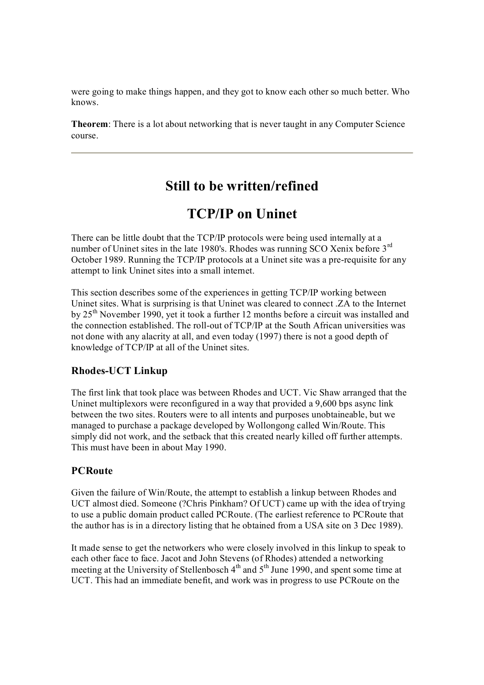were going to make things happen, and they got to know each other so much better. Who knows.

**Theorem**: There is a lot about networking that is never taught in any Computer Science course.

## **Still to be written/refined**

## **TCP/IP on Uninet**

There can be little doubt that the TCP/IP protocols were being used internally at a number of Uninet sites in the late 1980's. Rhodes was running SCO Xenix before 3<sup>rd</sup> October 1989. Running the TCP/IP protocols at a Uninet site was a pre-requisite for any attempt to link Uninet sites into a small internet.

This section describes some of the experiences in getting TCP/IP working between Uninet sites. What is surprising is that Uninet was cleared to connect .ZA to the Internet by 25<sup>th</sup> November 1990, yet it took a further 12 months before a circuit was installed and the connection established. The roll-out of TCP/IP at the South African universities was not done with any alacrity at all, and even today (1997) there is not a good depth of knowledge of TCP/IP at all of the Uninet sites.

### **Rhodes-UCT** Linkup

The first link that took place was between Rhodes and UCT. Vic Shaw arranged that the Uninet multiplexors were reconfigured in a way that provided a 9,600 bps async link between the two sites. Routers were to all intents and purposes unobtaineable, but we managed to purchase a package developed by Wollongong called Win/Route. This simply did not work, and the setback that this created nearly killed off further attempts. This must have been in about May 1990.

## **PCRoute**

Given the failure of Win/Route, the attempt to establish a linkup between Rhodes and UCT almost died. Someone (?Chris Pinkham? Of UCT) came up with the idea of trying to use a public domain product called PCRoute. (The earliest reference to PCRoute that the author has is in a directory listing that he obtained from a USA site on 3 Dec 1989).

It made sense to get the networkers who were closely involved in this linkup to speak to each other face to face. Jacot and John Stevens (of Rhodes) attended a networking meeting at the University of Stellenbosch  $4<sup>th</sup>$  and  $5<sup>th</sup>$  June 1990, and spent some time at UCT. This had an immediate benefit, and work was in progress to use PCRoute on the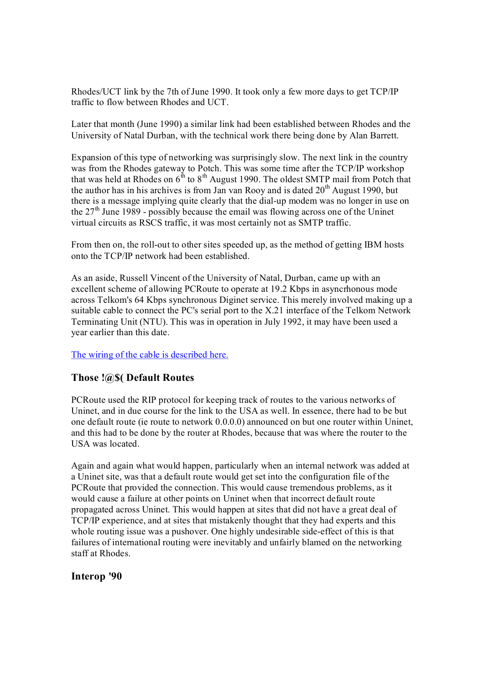Rhodes/UCT link by the 7th of June 1990. It took only a few more days to get TCP/IP traffic to flow between Rhodes and UCT.

Later that month (June 1990) a similar link had been established between Rhodes and the University of Natal Durban, with the technical work there being done by Alan Barrett.

Expansion of this type of networking was surprisingly slow. The next link in the country was from the Rhodes gateway to Potch. This was some time after the TCP/IP workshop that was held at Rhodes on  $6<sup>th</sup>$  to  $8<sup>th</sup>$  August 1990. The oldest SMTP mail from Potch that the author has in his archives is from Jan van Rooy and is dated  $20<sup>th</sup>$  August 1990, but there is a message implying quite clearly that the dial-up modem was no longer in use on the  $27<sup>th</sup>$  June 1989 - possibly because the email was flowing across one of the Uninet virtual circuits as RSCS traffic, it was most certainly not as SMTP traffic.

From then on, the roll-out to other sites speeded up, as the method of getting IBM hosts onto the TCP/IP network had been established.

As an aside, Russell Vincent of the University of Natal, Durban, came up with an excellent scheme of allowing PCRoute to operate at 19.2 Kbps in asyncrhonous mode across Telkom's 64 Kbps synchronous Diginet service. This merely involved making up a suitable cable to connect the PC's serial port to the X.21 interface of the Telkom Network Terminating Unit (NTU). This was in operation in July 1992, it may have been used a year earlier than this date.

The wiring of the cable [is described here.](http://www2.frd.ac.za/uninet/history/ntukludge.htm)

#### **Those !@\$( Default Routes**

PCRoute used the RIP protocol for keeping track of routes to the various networks of Uninet, and in due course for the link to the USA as well. In essence, there had to be but one default route (ie route to network 0.0.0.0) announced on but one router within Uninet, and this had to be done by the router at Rhodes, because that was where the router to the USA was located.

Again and again what would happen, particularly when an internal network was added at a Uninet site, was that a default route would get set into the configuration file of the PCRoute that provided the connection. This would cause tremendous problems, as it would cause a failure at other points on Uninet when that incorrect default route propagated across Uninet. This would happen at sites that did not have a great deal of TCP/IP experience, and at sites that mistakenly thought that they had experts and this whole routing issue was a pushover. One highly undesirable side-effect of this is that failures of international routing were inevitably and unfairly blamed on the networking staff at Rhodes.

#### **Interop '90**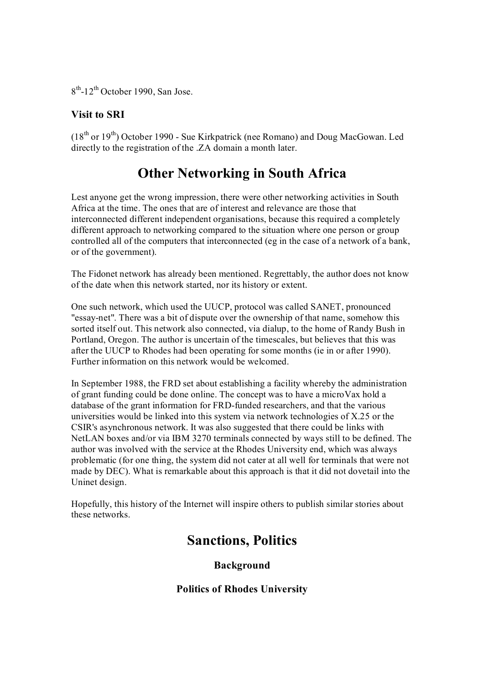$8<sup>th</sup>$ -12<sup>th</sup> October 1990, San Jose.

## **Visit to SRI**

 $(18<sup>th</sup>$  or  $19<sup>th</sup>$ ) October 1990 - Sue Kirkpatrick (nee Romano) and Doug MacGowan. Led directly to the registration of the .ZA domain a month later.

## **Other Networking in South Africa**

Lest anyone get the wrong impression, there were other networking activities in South Africa at the time. The ones that are of interest and relevance are those that interconnected different independent organisations, because this required a completely different approach to networking compared to the situation where one person or group controlled all of the computers that interconnected (eg in the case of a network of a bank, or of the government).

The Fidonet network has already been mentioned. Regrettably, the author does not know of the date when this network started, nor its history or extent.

One such network, which used the UUCP, protocol was called SANET, pronounced "essaynet". There was a bit of dispute over the ownership of that name, somehow this sorted itself out. This network also connected, via dialup, to the home of Randy Bush in Portland, Oregon. The author is uncertain of the timescales, but believes that this was after the UUCP to Rhodes had been operating for some months (ie in or after 1990). Further information on this network would be welcomed.

In September 1988, the FRD set about establishing a facility whereby the administration of grant funding could be done online. The concept was to have a microVax hold a database of the grant information for FRD-funded researchers, and that the various universities would be linked into this system via network technologies of X.25 or the CSIR's asynchronous network. It was also suggested that there could be links with NetLAN boxes and/or via IBM 3270 terminals connected by ways still to be defined. The author was involved with the service at the Rhodes University end, which was always problematic (for one thing, the system did not cater at all well for terminals that were not made by DEC). What is remarkable about this approach is that it did not dovetail into the Uninet design.

Hopefully, this history of the Internet will inspire others to publish similar stories about these networks.

## **Sanctions, Politics**

## **Background**

**Politics of Rhodes University**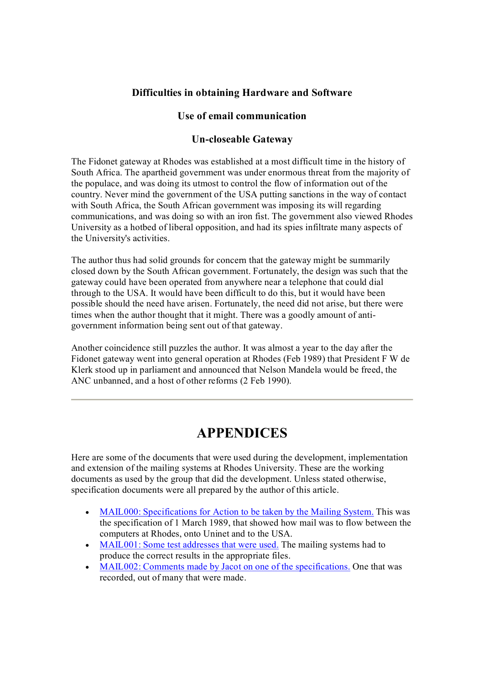### **Difficulties in obtaining Hardware and Software**

### **Use of email communication**

#### **Un-closeable Gateway**

The Fidonet gateway at Rhodes was established at a most difficult time in the history of South Africa. The apartheid government was under enormous threat from the majority of the populace, and was doing its utmost to control the flow of information out of the country. Never mind the government of the USA putting sanctions in the way of contact with South Africa, the South African government was imposing its will regarding communications, and was doing so with an iron fist. The government also viewed Rhodes University as a hotbed of liberal opposition, and had its spies infiltrate many aspects of the University's activities.

The author thus had solid grounds for concern that the gateway might be summarily closed down by the South African government. Fortunately, the design was such that the gateway could have been operated from anywhere near a telephone that could dial through to the USA. It would have been difficult to do this, but it would have been possible should the need have arisen. Fortunately, the need did not arise, but there were times when the author thought that it might. There was a goodly amount of anti government information being sent out of that gateway.

Another coincidence still puzzles the author. It was almost a year to the day after the Fidonet gateway went into general operation at Rhodes (Feb 1989) that President F W de Klerk stood up in parliament and announced that Nelson Mandela would be freed, the ANC unbanned, and a host of other reforms (2 Feb 1990).

## **APPENDICES**

Here are some of the documents that were used during the development, implementation and extension of the mailing systems at Rhodes University. These are the working documents as used by the group that did the development. Unless stated otherwise, specification documents were all prepared by the author of this article.

- [MAIL000: Specifications for Action to be](http://www2.frd.ac.za/uninet/history/mail000.htm) taken by the Mailing System. This was the specification of 1 March 1989, that showed how mail was to flow between the computers at Rhodes, onto Uninet and to the USA.
- MAIL001: Some test [addresses that were used.](http://www2.frd.ac.za/uninet/history/mail001.htm) The mailing systems had to produce the correct results in the appropriate files.
- [MAIL002: Comments made](http://www2.frd.ac.za/uninet/history/mail002.htm) by Jacot on one of the specifications. One that was recorded, out of many that were made.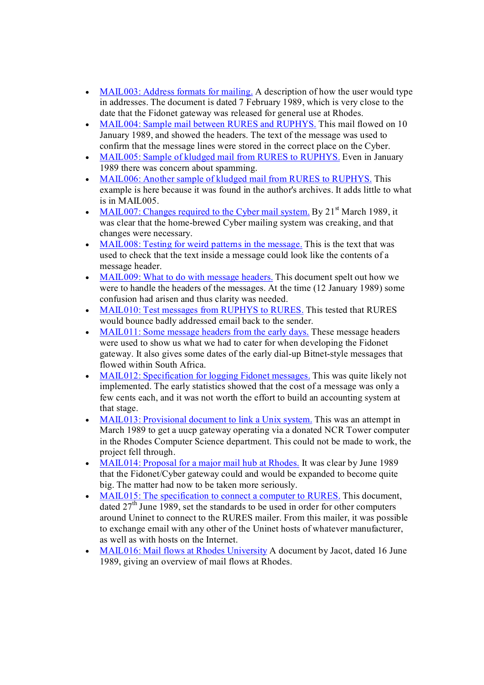- MAIL003: Address formats [for mailing.](http://www2.frd.ac.za/uninet/history/mail003.htm) A description of how the user would type in addresses. The document is dated 7 February 1989, which is very close to the date that the Fidonet gateway was released for general use at Rhodes.
- · [MAIL004: Sample mail between RURES](http://www2.frd.ac.za/uninet/history/mail004.htm) and RUPHYS. This mail flowed on 10 January 1989, and showed the headers. The text of the message was used to confirm that the message lines were stored in the correct place on the Cyber.
- · [MAIL005: Sample of kludged](http://www2.frd.ac.za/uninet/history/mail005.htm) mail from RURES to RUPHYS. Even in January 1989 there was concern about spamming.
- · MAIL006: [Another sample of kludged mail](http://www2.frd.ac.za/uninet/history/mail006.htm) from RURES to RUPHYS. This example is here because it was found in the author's archives. It adds little to what is in MAIL005.
- [MAIL007: Changes required](http://www2.frd.ac.za/uninet/history/mail007.htm) to the Cyber mail system. By  $21<sup>st</sup>$  March 1989, it was clear that the home-brewed Cyber mailing system was creaking, and that changes were necessary.
- [MAIL008: Testing for weird](http://www2.frd.ac.za/uninet/history/mail008.htm) patterns in the message. This is the text that was used to check that the text inside a message could look like the contents of a message header.
- MAIL009: What to [do with message headers.](http://www2.frd.ac.za/uninet/history/mail009.htm) This document spelt out how we were to handle the headers of the messages. At the time (12 January 1989) some confusion had arisen and thus clarity was needed.
- · [MAIL010: Test](http://www2.frd.ac.za/uninet/history/mail010.htm) messages from RUPHYS to RURES. This tested that RURES would bounce badly addressed email back to the sender.
- [MAIL011: Some message](http://www2.frd.ac.za/uninet/history/mail011.htm) headers from the early days. These message headers were used to show us what we had to cater for when developing the Fidonet gateway. It also gives some dates of the early dial-up Bitnet-style messages that flowed within South Africa.
- [MAIL012: Specification for logging](http://www2.frd.ac.za/uninet/history/mail012.htm) Fidonet messages. This was quite likely not implemented. The early statistics showed that the cost of a message was only a few cents each, and it was not worth the effort to build an accounting system at that stage.
- [MAIL013: Provisional](http://www2.frd.ac.za/uninet/history/mail013.htm) document to link a Unix system. This was an attempt in March 1989 to get a uucp gateway operating via a donated NCR Tower computer in the Rhodes Computer Science department. This could not be made to work, the project fell through.
- · [MAIL014: Proposal for](http://www2.frd.ac.za/uninet/history/mail014.htm) a major mail hub at Rhodes. It was clear by June 1989 that the Fidonet/Cyber gateway could and would be expanded to become quite big. The matter had now to be taken more seriously.
- MAIL015: The specification [to connect a computer to RURES.](http://www2.frd.ac.za/uninet/history/mail015.htm) This document, dated  $27<sup>th</sup>$  June 1989, set the standards to be used in order for other computers around Uninet to connect to the RURES mailer. From this mailer, it was possible to exchange email with any other of the Uninet hosts of whatever manufacturer, as well as with hosts on the Internet.
- · MAIL016: Mail flows at [Rhodes University](http://www2.frd.ac.za/uninet/history/mail016.htm) A document by Jacot, dated 16 June 1989, giving an overview of mail flows at Rhodes.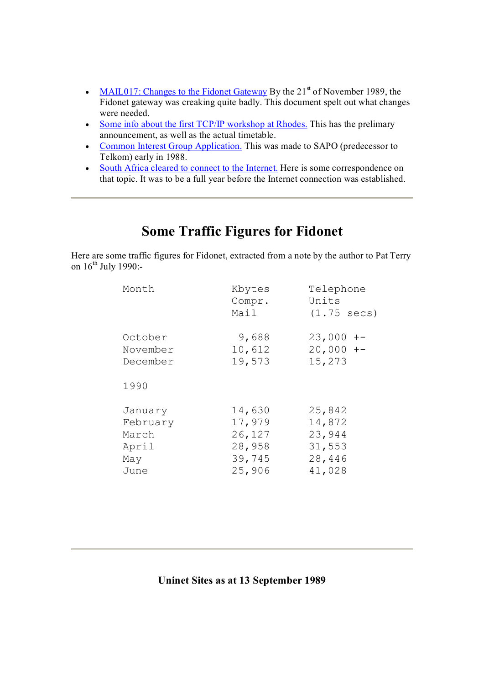- [MAIL017: Changes to the Fidonet](http://www2.frd.ac.za/uninet/history/mail017.htm) Gateway By the  $21<sup>st</sup>$  of November 1989, the Fidonet gateway was creaking quite badly. This document spelt out what changes were needed.
- Some info about the first [TCP/IP workshop at](http://www2.frd.ac.za/uninet/history/worksh1.htm) Rhodes. This has the prelimary announcement, as well as the actual timetable.
- Common Interest [Group Application.](http://www2.frd.ac.za/uninet/history/cig.htm) This was made to SAPO (predecessor to Telkom) early in 1988.
- · [South Africa cleared to](http://www2.frd.ac.za/uninet/history/zacleard.htm) connect to the Internet. Here is some correspondence on that topic. It was to be a full year before the Internet connection was established.

## **Some Traffic Figures for Fidonet**

Here are some traffic figures for Fidonet, extracted from a note by the author to Pat Terry on  $16<sup>th</sup>$  July 1990:-

| Month    | Kbytes<br>Compr.<br>Mail | Telephone<br>Units<br>$(1.75 \text{ secs})$ |
|----------|--------------------------|---------------------------------------------|
| October  | 9,688                    | $23,000 + -$                                |
| November | 10,612                   | $20,000 + -$                                |
| December | 19,573                   | 15,273                                      |
| 1990     |                          |                                             |
| January  | 14,630                   | 25,842                                      |
| February | 17,979                   | 14,872                                      |
| March    | 26,127                   | 23,944                                      |
| April    | 28,958                   | 31,553                                      |
| May      | 39,745                   | 28,446                                      |
| June     | 25,906                   | 41,028                                      |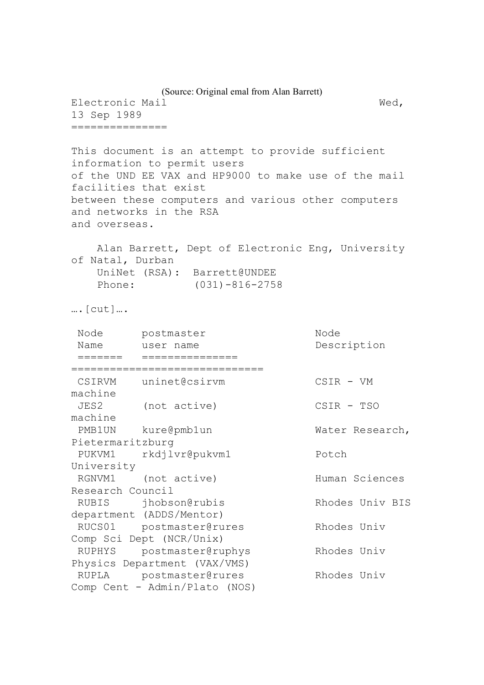(Source: Original emal from Alan Barrett) Electronic Mail Wed, 13 Sep 1989 =============== This document is an attempt to provide sufficient information to permit users of the UND EE VAX and HP9000 to make use of the mail facilities that exist between these computers and various other computers and networks in the RSA and overseas. Alan Barrett, Dept of Electronic Eng, University of Natal, Durban UniNet (RSA): Barrett@UNDEE Phone: (031)-816-2758 ….[cut]…. Node postmaster Node Name user name **Description** ======= =============== ============================== CSIRVM uninet@csirvm CSIR - VM machine JES2 (not active) CSIR - TSO machine PMB1UN kure@pmb1un Water Research, Pietermaritzburg PUKVM1 rkdjlvr@pukvm1 Potch University RGNVM1 (not active) Human Sciences Research Council RUBIS jhobson@rubis Rhodes Univ BIS department (ADDS/Mentor) RUCS01 postmaster@rures Rhodes Univ Comp Sci Dept (NCR/Unix) RUPHYS postmaster@ruphys Rhodes Univ Physics Department (VAX/VMS) RUPLA postmaster@rures Rhodes Univ Comp Cent - Admin/Plato (NOS)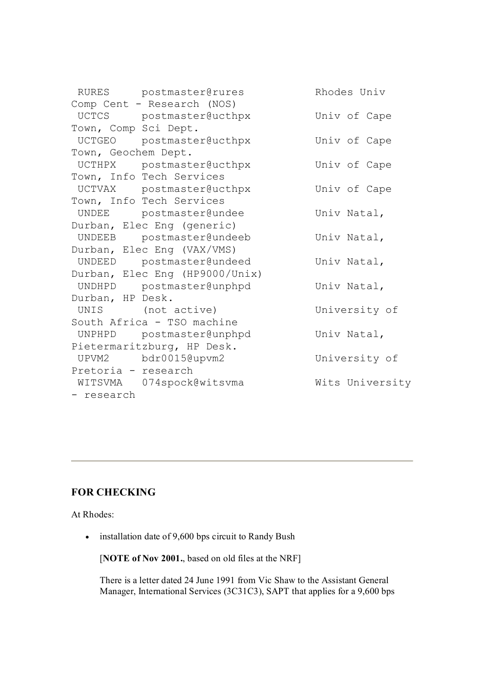|                      | RURES postmaster@rures         | Rhodes Univ     |
|----------------------|--------------------------------|-----------------|
|                      | Comp Cent - Research (NOS)     |                 |
|                      | UCTCS postmaster@ucthpx        | Univ of Cape    |
| Town, Comp Sci Dept. |                                |                 |
|                      | UCTGEO postmaster@ucthpx       | Univ of Cape    |
| Town, Geochem Dept.  |                                |                 |
|                      | UCTHPX postmaster@ucthpx       | Univ of Cape    |
|                      | Town, Info Tech Services       |                 |
|                      | UCTVAX postmaster@ucthpx       | Univ of Cape    |
|                      | Town, Info Tech Services       |                 |
|                      | UNDEE postmaster@undee         | Univ Natal,     |
|                      | Durban, Elec Eng (generic)     |                 |
|                      | UNDEEB postmaster@undeeb       | Univ Natal,     |
|                      | Durban, Elec Eng (VAX/VMS)     |                 |
|                      | UNDEED postmaster@undeed       | Univ Natal,     |
|                      | Durban, Elec Eng (HP9000/Unix) |                 |
|                      | UNDHPD postmaster@unphpd       | Univ Natal,     |
| Durban, HP Desk.     |                                |                 |
|                      | UNIS (not active)              | University of   |
|                      | South Africa - TSO machine     |                 |
|                      | UNPHPD postmaster@unphpd       | Univ Natal,     |
|                      | Pietermaritzburg, HP Desk.     |                 |
|                      | UPVM2 bdr0015@upvm2            | University of   |
| Pretoria - research  |                                |                 |
|                      | WITSVMA 074spock@witsvma       | Wits University |
| - research           |                                |                 |

## **FOR CHECKING**

At Rhodes:

· installation date of 9,600 bps circuit to Randy Bush

[**NOTE of Nov 2001.**, based on old files at the NRF]

There is a letter dated 24 June 1991 from Vic Shaw to the Assistant General Manager, International Services (3C31C3), SAPT that applies for a 9,600 bps